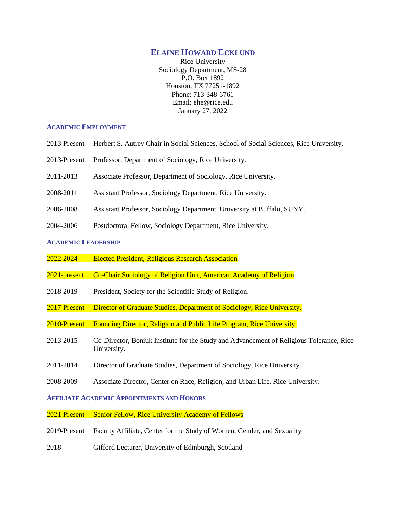## **ELAINE HOWARD ECKLUND**

Rice University Sociology Department, MS-28 P.O. Box 1892 Houston, TX 77251-1892 Phone: 713-348-6761 Email: ehe@rice.edu January 27, 2022

#### **ACADEMIC EMPLOYMENT**

- 2013-Present Herbert S. Autrey Chair in Social Sciences, School of Social Sciences, Rice University.
- 2013-Present Professor, Department of Sociology, Rice University.
- 2011-2013 Associate Professor, Department of Sociology, Rice University.
- 2008-2011 Assistant Professor, Sociology Department, Rice University.
- 2006-2008 Assistant Professor, Sociology Department, University at Buffalo, SUNY.
- 2004-2006 Postdoctoral Fellow, Sociology Department, Rice University.

#### **ACADEMIC LEADERSHIP**

- 2022-2024 Elected President, Religious Research Association
- 2021-present Co-Chair Sociology of Religion Unit, American Academy of Religion
- 2018-2019 President, Society for the Scientific Study of Religion.
- 2017-Present Director of Graduate Studies, Department of Sociology, Rice University.
- 2010-Present Founding Director, Religion and Public Life Program, Rice University.
- 2013-2015 Co-Director, Boniuk Institute for the Study and Advancement of Religious Tolerance, Rice University.
- 2011-2014 Director of Graduate Studies, Department of Sociology, Rice University.
- 2008-2009 Associate Director, Center on Race, Religion, and Urban Life, Rice University.

# **AFFILIATE ACADEMIC APPOINTMENTS AND HONORS**

2021-Present Senior Fellow, Rice University Academy of Fellows

- 2019-Present Faculty Affiliate, Center for the Study of Women, Gender, and Sexuality
- 2018 Gifford Lecturer, University of Edinburgh, Scotland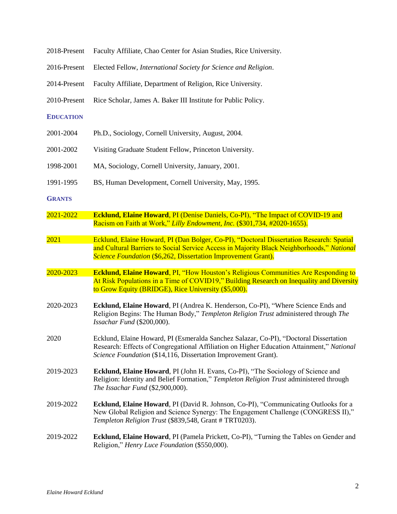| 2018-Present     | Faculty Affiliate, Chao Center for Asian Studies, Rice University.                                                                                                                                                                                     |
|------------------|--------------------------------------------------------------------------------------------------------------------------------------------------------------------------------------------------------------------------------------------------------|
| 2016-Present     | Elected Fellow, International Society for Science and Religion.                                                                                                                                                                                        |
| 2014-Present     | Faculty Affiliate, Department of Religion, Rice University.                                                                                                                                                                                            |
| 2010-Present     | Rice Scholar, James A. Baker III Institute for Public Policy.                                                                                                                                                                                          |
| <b>EDUCATION</b> |                                                                                                                                                                                                                                                        |
| 2001-2004        | Ph.D., Sociology, Cornell University, August, 2004.                                                                                                                                                                                                    |
| 2001-2002        | Visiting Graduate Student Fellow, Princeton University.                                                                                                                                                                                                |
| 1998-2001        | MA, Sociology, Cornell University, January, 2001.                                                                                                                                                                                                      |
| 1991-1995        | BS, Human Development, Cornell University, May, 1995.                                                                                                                                                                                                  |
| <b>GRANTS</b>    |                                                                                                                                                                                                                                                        |
| 2021-2022        | <b>Ecklund, Elaine Howard, PI (Denise Daniels, Co-PI), "The Impact of COVID-19 and</b><br>Racism on Faith at Work," Lilly Endowment, Inc. (\$301,734, #2020-1655).                                                                                     |
| 2021             | Ecklund, Elaine Howard, PI (Dan Bolger, Co-PI), "Doctoral Dissertation Research: Spatial<br>and Cultural Barriers to Social Service Access in Majority Black Neighborhoods," National<br>Science Foundation (\$6,262, Dissertation Improvement Grant). |
| 2020-2023        | <b>Ecklund, Elaine Howard, PI, "How Houston's Religious Communities Are Responding to</b><br>At Risk Populations in a Time of COVID19," Building Research on Inequality and Diversity<br>to Grow Equity (BRIDGE), Rice University (\$5,000).           |
| 2020-2023        | Ecklund, Elaine Howard, PI (Andrea K. Henderson, Co-PI), "Where Science Ends and<br>Religion Begins: The Human Body," Templeton Religion Trust administered through The<br>Issachar Fund (\$200,000).                                                  |
| 2020             | Ecklund, Elaine Howard, PI (Esmeralda Sanchez Salazar, Co-PI), "Doctoral Dissertation<br>Research: Effects of Congregational Affiliation on Higher Education Attainment," National<br>Science Foundation (\$14,116, Dissertation Improvement Grant).   |
| 2019-2023        | Ecklund, Elaine Howard, PI (John H. Evans, Co-PI), "The Sociology of Science and<br>Religion: Identity and Belief Formation," Templeton Religion Trust administered through<br>The Issachar Fund (\$2,900,000).                                        |
| 2019-2022        | <b>Ecklund, Elaine Howard</b> , PI (David R. Johnson, Co-PI), "Communicating Outlooks for a<br>New Global Religion and Science Synergy: The Engagement Challenge (CONGRESS II),"<br>Templeton Religion Trust (\$839,548, Grant # TRT0203).             |
| 2019-2022        | Ecklund, Elaine Howard, PI (Pamela Prickett, Co-PI), "Turning the Tables on Gender and<br>Religion," Henry Luce Foundation (\$550,000).                                                                                                                |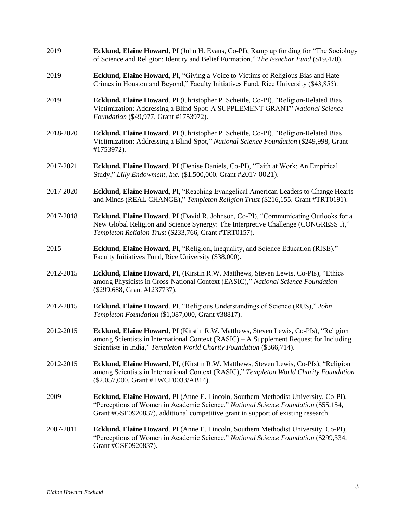- 2019 **Ecklund, Elaine Howard**, PI (John H. Evans, Co-PI), Ramp up funding for "The Sociology of Science and Religion: Identity and Belief Formation," *The Issachar Fund* (\$19,470).
- 2019 **Ecklund, Elaine Howard**, PI, "Giving a Voice to Victims of Religious Bias and Hate Crimes in Houston and Beyond," Faculty Initiatives Fund, Rice University (\$43,855).
- 2019 **Ecklund, Elaine Howard**, PI (Christopher P. Scheitle, Co-PI), "Religion-Related Bias Victimization: Addressing a Blind-Spot: A SUPPLEMENT GRANT" *National Science Foundation* (\$49,977, Grant #1753972).
- 2018-2020 **Ecklund, Elaine Howard**, PI (Christopher P. Scheitle, Co-PI), "Religion-Related Bias Victimization: Addressing a Blind-Spot," *National Science Foundation* (\$249,998, Grant #1753972).
- 2017-2021 **Ecklund, Elaine Howard**, PI (Denise Daniels, Co-PI), "Faith at Work: An Empirical Study," *Lilly Endowment, Inc.* (\$1,500,000, Grant #2017 0021).
- 2017-2020 **Ecklund, Elaine Howard**, PI, "Reaching Evangelical American Leaders to Change Hearts and Minds (REAL CHANGE)," *Templeton Religion Trust* (\$216,155, Grant #TRT0191).
- 2017-2018 **Ecklund, Elaine Howard**, PI (David R. Johnson, Co-PI), "Communicating Outlooks for a New Global Religion and Science Synergy: The Interpretive Challenge (CONGRESS I)," *Templeton Religion Trust* (\$233,766, Grant #TRT0157).
- 2015 **Ecklund, Elaine Howard**, PI, "Religion, Inequality, and Science Education (RISE)," Faculty Initiatives Fund, Rice University (\$38,000).
- 2012-2015 **Ecklund, Elaine Howard**, PI, (Kirstin R.W. Matthews, Steven Lewis, Co-PIs), "Ethics among Physicists in Cross-National Context (EASIC)," *National Science Foundation*  (\$299,688, Grant #1237737).
- 2012-2015 **Ecklund, Elaine Howard**, PI, "Religious Understandings of Science (RUS)," *John Templeton Foundation* (\$1,087,000, Grant #38817).
- 2012-2015 **Ecklund, Elaine Howard**, PI (Kirstin R.W. Matthews, Steven Lewis, Co-PIs), "Religion among Scientists in International Context (RASIC) – A Supplement Request for Including Scientists in India," *Templeton World Charity Foundation* (\$366,714).
- 2012-2015 **Ecklund, Elaine Howard**, PI, (Kirstin R.W. Matthews, Steven Lewis, Co-PIs), "Religion among Scientists in International Context (RASIC)," *Templeton World Charity Foundation* (\$2,057,000, Grant #TWCF0033/AB14).
- 2009 **Ecklund, Elaine Howard**, PI (Anne E. Lincoln, Southern Methodist University, Co-PI), "Perceptions of Women in Academic Science," *National Science Foundation* (\$55,154, Grant #GSE0920837), additional competitive grant in support of existing research.
- 2007-2011 **Ecklund, Elaine Howard**, PI (Anne E. Lincoln, Southern Methodist University, Co-PI), "Perceptions of Women in Academic Science," *National Science Foundation* (\$299,334, Grant #GSE0920837).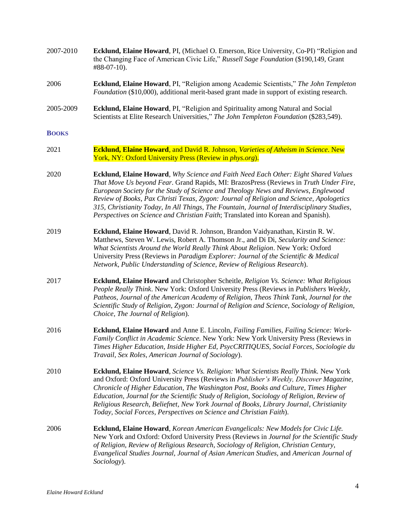| 2007-2010 | <b>Ecklund, Elaine Howard, PI, (Michael O. Emerson, Rice University, Co-PI) "Religion and</b> |
|-----------|-----------------------------------------------------------------------------------------------|
|           | the Changing Face of American Civic Life," Russell Sage Foundation (\$190,149, Grant          |
|           | $\#88 - 07 - 10$ .                                                                            |

- 2006 **Ecklund, Elaine Howard**, PI, "Religion among Academic Scientists," *The John Templeton Foundation* (\$10,000), additional merit-based grant made in support of existing research.
- 2005-2009 **Ecklund, Elaine Howard**, PI, "Religion and Spirituality among Natural and Social Scientists at Elite Research Universities," *The John Templeton Foundation* (\$283,549).

#### **BOOKS**

- 2021 **Ecklund, Elaine Howard**, and David R. Johnson, *Varieties of Atheism in Science*. New York, NY: Oxford University Press (Review in *phys.org*).
- 2020 **Ecklund, Elaine Howard**, *Why Science and Faith Need Each Other: Eight Shared Values That Move Us beyond Fear*. Grand Rapids, MI: BrazosPress (Reviews in *Truth Under Fire*, *European Society for the Study of Science and Theology News and Reviews*, *Englewood Review of Books*, *Pax Christi Texas*, *Zygon: Journal of Religion and Science, Apologetics 315, Christianity Today*, *In All Things*, *The Fountain*, *Journal of Interdisciplinary Studies*, *Perspectives on Science and Christian Faith*; Translated into Korean and Spanish).
- 2019 **Ecklund, Elaine Howard**, David R. Johnson, Brandon Vaidyanathan, Kirstin R. W. Matthews, Steven W. Lewis, Robert A. Thomson Jr., and Di Di, *Secularity and Science: What Scientists Around the World Really Think About Religion*. New York: Oxford University Press (Reviews in *Paradigm Explorer: Journal of the Scientific & Medical Network*, *Public Understanding of Science*, *Review of Religious Research*).
- 2017 **Ecklund, Elaine Howard** and Christopher Scheitle, *Religion Vs. Science: What Religious People Really Think*. New York: Oxford University Press (Reviews in *Publishers Weekly*, *Patheos, Journal of the American Academy of Religion, Theos Think Tank, Journal for the Scientific Study of Religion, Zygon: Journal of Religion and Science*, *Sociology of Religion, Choice, The Journal of Religion*).
- 2016 **Ecklund, Elaine Howard** and Anne E. Lincoln, *Failing Families, Failing Science: Work-Family Conflict in Academic Science*. New York: New York University Press (Reviews in *Times Higher Education, Inside Higher Ed*, *PsycCRITIQUES*, *Social Forces*, *Sociologie du Travail, Sex Roles, American Journal of Sociology*).
- 2010 **Ecklund, Elaine Howard**, *Science Vs. Religion: What Scientists Really Think.* New York and Oxford: Oxford University Press (Reviews in *Publisher's Weekly, Discover Magazine, Chronicle of Higher Education, The Washington Post, Books and Culture, Times Higher Education, Journal for the Scientific Study of Religion, Sociology of Religion, Review of Religious Research, Beliefnet, New York Journal of Books, Library Journal, Christianity Today, Social Forces, Perspectives on Science and Christian Faith*).
- 2006 **Ecklund, Elaine Howard**, *Korean American Evangelicals: New Models for Civic Life.* New York and Oxford: Oxford University Press (Reviews in *Journal for the Scientific Study of Religion, Review of Religious Research, Sociology of Religion, Christian Century, Evangelical Studies Journal, Journal of Asian American Studies,* and *American Journal of Sociology*).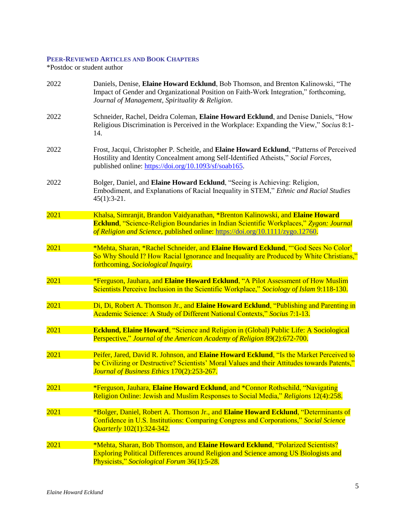# **PEER-REVIEWED ARTICLES AND BOOK CHAPTERS**

\*Postdoc or student author

| 2022 | Daniels, Denise, Elaine Howard Ecklund, Bob Thomson, and Brenton Kalinowski, "The<br>Impact of Gender and Organizational Position on Faith-Work Integration," forthcoming,<br>Journal of Management, Spirituality & Religion.                                       |
|------|---------------------------------------------------------------------------------------------------------------------------------------------------------------------------------------------------------------------------------------------------------------------|
| 2022 | Schneider, Rachel, Deidra Coleman, Elaine Howard Ecklund, and Denise Daniels, "How<br>Religious Discrimination is Perceived in the Workplace: Expanding the View," Socius 8:1-<br>14.                                                                               |
| 2022 | Frost, Jacqui, Christopher P. Scheitle, and Elaine Howard Ecklund, "Patterns of Perceived<br>Hostility and Identity Concealment among Self-Identified Atheists," Social Forces,<br>published online: https://doi.org/10.1093/sf/soab165.                            |
| 2022 | Bolger, Daniel, and Elaine Howard Ecklund, "Seeing is Achieving: Religion,<br>Embodiment, and Explanations of Racial Inequality in STEM," Ethnic and Racial Studies<br>$45(1):3-21.$                                                                                |
| 2021 | Khalsa, Simranjit, Brandon Vaidyanathan, *Brenton Kalinowski, and Elaine Howard<br><b>Ecklund</b> , "Science-Religion Boundaries in Indian Scientific Workplaces," Zygon: Journal<br>of Religion and Science, published online: https://doi.org/10.1111/zygo.12760. |
| 2021 | *Mehta, Sharan, *Rachel Schneider, and Elaine Howard Ecklund, "God Sees No Color'<br>So Why Should I? How Racial Ignorance and Inequality are Produced by White Christians,"<br>forthcoming, Sociological Inquiry.                                                  |
| 2021 | *Ferguson, Jauhara, and Elaine Howard Ecklund, "A Pilot Assessment of How Muslim<br>Scientists Perceive Inclusion in the Scientific Workplace," Sociology of Islam 9:118-130.                                                                                       |
| 2021 | Di, Di, Robert A. Thomson Jr., and Elaine Howard Ecklund, "Publishing and Parenting in<br>Academic Science: A Study of Different National Contexts," Socius 7:1-13.                                                                                                 |
| 2021 | <b>Ecklund, Elaine Howard, "Science and Religion in (Global) Public Life: A Sociological</b><br>Perspective," Journal of the American Academy of Religion 89(2):672-700.                                                                                            |
| 2021 | Peifer, Jared, David R. Johnson, and Elaine Howard Ecklund, "Is the Market Perceived to<br>be Civilizing or Destructive? Scientists' Moral Values and their Attitudes towards Patents,"<br>Journal of Business Ethics 170(2):253-267.                               |
| 2021 | *Ferguson, Jauhara, Elaine Howard Ecklund, and *Connor Rothschild, "Navigating<br>Religion Online: Jewish and Muslim Responses to Social Media," Religions 12(4):258.                                                                                               |
| 2021 | *Bolger, Daniel, Robert A. Thomson Jr., and Elaine Howard Ecklund, "Determinants of<br>Confidence in U.S. Institutions: Comparing Congress and Corporations," Social Science<br><i>Quarterly</i> 102(1):324-342.                                                    |
| 2021 | *Mehta, Sharan, Bob Thomson, and Elaine Howard Ecklund, "Polarized Scientists?<br><b>Exploring Political Differences around Religion and Science among US Biologists and</b><br>Physicists," Sociological Forum 36(1):5-28.                                         |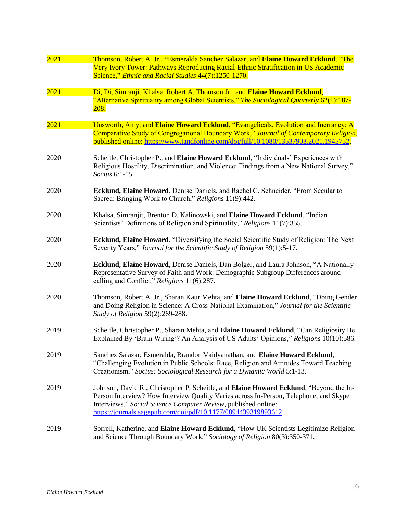| 2021 | Thomson, Robert A. Jr., *Esmeralda Sanchez Salazar, and Elaine Howard Ecklund, "The<br>Very Ivory Tower: Pathways Reproducing Racial-Ethnic Stratification in US Academic<br>Science," Ethnic and Racial Studies 44(7):1250-1270.                                                                                   |
|------|---------------------------------------------------------------------------------------------------------------------------------------------------------------------------------------------------------------------------------------------------------------------------------------------------------------------|
| 2021 | Di, Di, Simranjit Khalsa, Robert A. Thomson Jr., and Elaine Howard Ecklund,<br>"Alternative Spirituality among Global Scientists," The Sociological Quarterly 62(1):187-<br><u> 208.</u>                                                                                                                            |
| 2021 | Unsworth, Amy, and Elaine Howard Ecklund, "Evangelicals, Evolution and Inerrancy: A<br>Comparative Study of Congregational Boundary Work," Journal of Contemporary Religion,<br>published online: https://www.tandfonline.com/doi/full/10.1080/13537903.2021.1945752.                                               |
| 2020 | Scheitle, Christopher P., and Elaine Howard Ecklund, "Individuals' Experiences with<br>Religious Hostility, Discrimination, and Violence: Findings from a New National Survey,"<br>Socius 6:1-15.                                                                                                                   |
| 2020 | Ecklund, Elaine Howard, Denise Daniels, and Rachel C. Schneider, "From Secular to<br>Sacred: Bringing Work to Church," Religions 11(9):442.                                                                                                                                                                         |
| 2020 | Khalsa, Simranjit, Brenton D. Kalinowski, and Elaine Howard Ecklund, "Indian<br>Scientists' Definitions of Religion and Spirituality," Religions 11(7):355.                                                                                                                                                         |
| 2020 | Ecklund, Elaine Howard, "Diversifying the Social Scientific Study of Religion: The Next<br>Seventy Years," Journal for the Scientific Study of Religion 59(1):5-17.                                                                                                                                                 |
| 2020 | Ecklund, Elaine Howard, Denise Daniels, Dan Bolger, and Laura Johnson, "A Nationally<br>Representative Survey of Faith and Work: Demographic Subgroup Differences around<br>calling and Conflict," Religions 11(6):287.                                                                                             |
| 2020 | Thomson, Robert A. Jr., Sharan Kaur Mehta, and Elaine Howard Ecklund, "Doing Gender<br>and Doing Religion in Science: A Cross-National Examination," Journal for the Scientific<br>Study of Religion 59(2):269-288.                                                                                                 |
| 2019 | Scheitle, Christopher P., Sharan Mehta, and Elaine Howard Ecklund, "Can Religiosity Be<br>Explained By 'Brain Wiring'? An Analysis of US Adults' Opinions," Religions 10(10):586.                                                                                                                                   |
| 2019 | Sanchez Salazar, Esmeralda, Brandon Vaidyanathan, and Elaine Howard Ecklund,<br>"Challenging Evolution in Public Schools: Race, Religion and Attitudes Toward Teaching<br>Creationism," Socius: Sociological Research for a Dynamic World 5:1-13.                                                                   |
| 2019 | Johnson, David R., Christopher P. Scheitle, and Elaine Howard Ecklund, "Beyond the In-<br>Person Interview? How Interview Quality Varies across In-Person, Telephone, and Skype<br>Interviews," Social Science Computer Review, published online:<br>https://journals.sagepub.com/doi/pdf/10.1177/0894439319893612. |
| 2019 | Sorrell, Katherine, and Elaine Howard Ecklund, "How UK Scientists Legitimize Religion<br>and Science Through Boundary Work," Sociology of Religion 80(3):350-371.                                                                                                                                                   |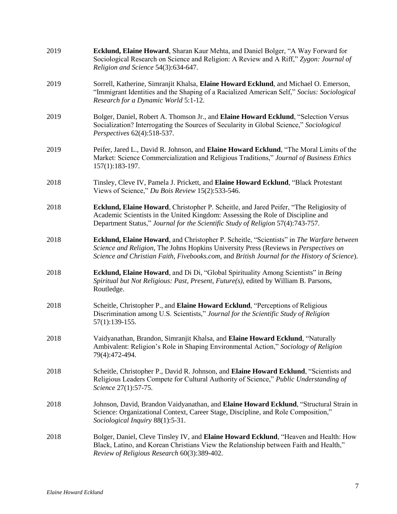| 2019 | Ecklund, Elaine Howard, Sharan Kaur Mehta, and Daniel Bolger, "A Way Forward for<br>Sociological Research on Science and Religion: A Review and A Riff," Zygon: Journal of<br>Religion and Science 54(3):634-647.                                                                |
|------|----------------------------------------------------------------------------------------------------------------------------------------------------------------------------------------------------------------------------------------------------------------------------------|
| 2019 | Sorrell, Katherine, Simranjit Khalsa, Elaine Howard Ecklund, and Michael O. Emerson,<br>"Immigrant Identities and the Shaping of a Racialized American Self," Socius: Sociological<br>Research for a Dynamic World 5:1-12.                                                       |
| 2019 | Bolger, Daniel, Robert A. Thomson Jr., and Elaine Howard Ecklund, "Selection Versus<br>Socialization? Interrogating the Sources of Secularity in Global Science," Sociological<br>Perspectives 62(4):518-537.                                                                    |
| 2019 | Peifer, Jared L., David R. Johnson, and Elaine Howard Ecklund, "The Moral Limits of the<br>Market: Science Commercialization and Religious Traditions," Journal of Business Ethics<br>157(1):183-197.                                                                            |
| 2018 | Tinsley, Cleve IV, Pamela J. Prickett, and Elaine Howard Ecklund, "Black Protestant<br>Views of Science," Du Bois Review 15(2):533-546.                                                                                                                                          |
| 2018 | Ecklund, Elaine Howard, Christopher P. Scheitle, and Jared Peifer, "The Religiosity of<br>Academic Scientists in the United Kingdom: Assessing the Role of Discipline and<br>Department Status," Journal for the Scientific Study of Religion 57(4):743-757.                     |
| 2018 | Ecklund, Elaine Howard, and Christopher P. Scheitle, "Scientists" in The Warfare between<br>Science and Religion, The Johns Hopkins University Press (Reviews in Perspectives on<br>Science and Christian Faith, Fivebooks.com, and British Journal for the History of Science). |
| 2018 | Ecklund, Elaine Howard, and Di Di, "Global Spirituality Among Scientists" in Being<br>Spiritual but Not Religious: Past, Present, Future(s), edited by William B. Parsons,<br>Routledge.                                                                                         |
| 2018 | Scheitle, Christopher P., and Elaine Howard Ecklund, "Perceptions of Religious<br>Discrimination among U.S. Scientists," Journal for the Scientific Study of Religion<br>57(1):139-155.                                                                                          |
| 2018 | Vaidyanathan, Brandon, Simranjit Khalsa, and Elaine Howard Ecklund, "Naturally<br>Ambivalent: Religion's Role in Shaping Environmental Action," Sociology of Religion<br>79(4):472-494.                                                                                          |
| 2018 | Scheitle, Christopher P., David R. Johnson, and Elaine Howard Ecklund, "Scientists and<br>Religious Leaders Compete for Cultural Authority of Science," Public Understanding of<br>Science 27(1):57-75.                                                                          |
| 2018 | Johnson, David, Brandon Vaidyanathan, and Elaine Howard Ecklund, "Structural Strain in<br>Science: Organizational Context, Career Stage, Discipline, and Role Composition,"<br>Sociological Inquiry 88(1):5-31.                                                                  |
| 2018 | Bolger, Daniel, Cleve Tinsley IV, and Elaine Howard Ecklund, "Heaven and Health: How<br>Black, Latino, and Korean Christians View the Relationship between Faith and Health,"<br>Review of Religious Research 60(3):389-402.                                                     |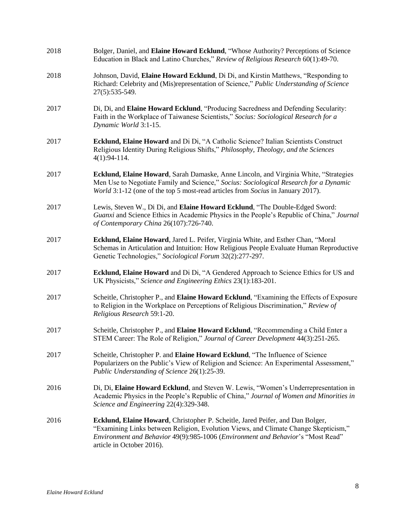| 2018 | Bolger, Daniel, and Elaine Howard Ecklund, "Whose Authority? Perceptions of Science<br>Education in Black and Latino Churches," Review of Religious Research 60(1):49-70.                                                                                                                     |
|------|-----------------------------------------------------------------------------------------------------------------------------------------------------------------------------------------------------------------------------------------------------------------------------------------------|
| 2018 | Johnson, David, Elaine Howard Ecklund, Di Di, and Kirstin Matthews, "Responding to<br>Richard: Celebrity and (Mis)representation of Science," Public Understanding of Science<br>27(5):535-549.                                                                                               |
| 2017 | Di, Di, and Elaine Howard Ecklund, "Producing Sacredness and Defending Secularity:<br>Faith in the Workplace of Taiwanese Scientists," Socius: Sociological Research for a<br>Dynamic World 3:1-15.                                                                                           |
| 2017 | Ecklund, Elaine Howard and Di Di, "A Catholic Science? Italian Scientists Construct<br>Religious Identity During Religious Shifts," Philosophy, Theology, and the Sciences<br>$4(1):94-114.$                                                                                                  |
| 2017 | Ecklund, Elaine Howard, Sarah Damaske, Anne Lincoln, and Virginia White, "Strategies<br>Men Use to Negotiate Family and Science," Socius: Sociological Research for a Dynamic<br>World 3:1-12 (one of the top 5 most-read articles from Socius in January 2017).                              |
| 2017 | Lewis, Steven W., Di Di, and Elaine Howard Ecklund, "The Double-Edged Sword:<br>Guanxi and Science Ethics in Academic Physics in the People's Republic of China," Journal<br>of Contemporary China 26(107):726-740.                                                                           |
| 2017 | Ecklund, Elaine Howard, Jared L. Peifer, Virginia White, and Esther Chan, "Moral<br>Schemas in Articulation and Intuition: How Religious People Evaluate Human Reproductive<br>Genetic Technologies," Sociological Forum 32(2):277-297.                                                       |
| 2017 | Ecklund, Elaine Howard and Di Di, "A Gendered Approach to Science Ethics for US and<br>UK Physicists," Science and Engineering Ethics 23(1):183-201.                                                                                                                                          |
| 2017 | Scheitle, Christopher P., and Elaine Howard Ecklund, "Examining the Effects of Exposure<br>to Religion in the Workplace on Perceptions of Religious Discrimination," Review of<br>Religious Research 59:1-20.                                                                                 |
| 2017 | Scheitle, Christopher P., and Elaine Howard Ecklund, "Recommending a Child Enter a<br>STEM Career: The Role of Religion," Journal of Career Development 44(3):251-265.                                                                                                                        |
| 2017 | Scheitle, Christopher P. and Elaine Howard Ecklund, "The Influence of Science<br>Popularizers on the Public's View of Religion and Science: An Experimental Assessment,"<br>Public Understanding of Science 26(1):25-39.                                                                      |
| 2016 | Di, Di, Elaine Howard Ecklund, and Steven W. Lewis, "Women's Underrepresentation in<br>Academic Physics in the People's Republic of China," Journal of Women and Minorities in<br>Science and Engineering 22(4):329-348.                                                                      |
| 2016 | <b>Ecklund, Elaine Howard</b> , Christopher P. Scheitle, Jared Peifer, and Dan Bolger,<br>"Examining Links between Religion, Evolution Views, and Climate Change Skepticism,"<br>Environment and Behavior 49(9):985-1006 (Environment and Behavior's "Most Read"<br>article in October 2016). |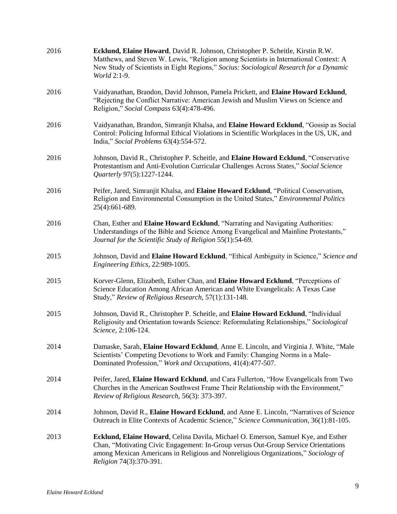| 2016 | Ecklund, Elaine Howard, David R. Johnson, Christopher P. Scheitle, Kirstin R.W.<br>Matthews, and Steven W. Lewis, "Religion among Scientists in International Context: A<br>New Study of Scientists in Eight Regions," Socius: Sociological Research for a Dynamic<br>World 2:1-9.       |
|------|------------------------------------------------------------------------------------------------------------------------------------------------------------------------------------------------------------------------------------------------------------------------------------------|
| 2016 | Vaidyanathan, Brandon, David Johnson, Pamela Prickett, and Elaine Howard Ecklund,<br>"Rejecting the Conflict Narrative: American Jewish and Muslim Views on Science and<br>Religion," Social Compass 63(4):478-496.                                                                      |
| 2016 | Vaidyanathan, Brandon, Simranjit Khalsa, and Elaine Howard Ecklund, "Gossip as Social<br>Control: Policing Informal Ethical Violations in Scientific Workplaces in the US, UK, and<br>India," Social Problems 63(4):554-572.                                                             |
| 2016 | Johnson, David R., Christopher P. Scheitle, and Elaine Howard Ecklund, "Conservative<br>Protestantism and Anti-Evolution Curricular Challenges Across States," Social Science<br>Quarterly 97(5):1227-1244.                                                                              |
| 2016 | Peifer, Jared, Simranjit Khalsa, and Elaine Howard Ecklund, "Political Conservatism,<br>Religion and Environmental Consumption in the United States," Environmental Politics<br>25(4):661-689.                                                                                           |
| 2016 | Chan, Esther and Elaine Howard Ecklund, "Narrating and Navigating Authorities:<br>Understandings of the Bible and Science Among Evangelical and Mainline Protestants,"<br>Journal for the Scientific Study of Religion 55(1):54-69.                                                      |
| 2015 | Johnson, David and Elaine Howard Ecklund, "Ethical Ambiguity in Science," Science and<br>Engineering Ethics, 22:989-1005.                                                                                                                                                                |
| 2015 | Korver-Glenn, Elizabeth, Esther Chan, and Elaine Howard Ecklund, "Perceptions of<br>Science Education Among African American and White Evangelicals: A Texas Case<br>Study," Review of Religious Research, 57(1):131-148.                                                                |
| 2015 | Johnson, David R., Christopher P. Scheitle, and Elaine Howard Ecklund, "Individual<br>Religiosity and Orientation towards Science: Reformulating Relationships," Sociological<br>Science, 2:106-124.                                                                                     |
| 2014 | Damaske, Sarah, Elaine Howard Ecklund, Anne E. Lincoln, and Virginia J. White, "Male<br>Scientists' Competing Devotions to Work and Family: Changing Norms in a Male-<br>Dominated Profession," Work and Occupations, 41(4):477-507.                                                     |
| 2014 | Peifer, Jared, Elaine Howard Ecklund, and Cara Fullerton, "How Evangelicals from Two<br>Churches in the American Southwest Frame Their Relationship with the Environment,"<br>Review of Religious Research, 56(3): 373-397.                                                              |
| 2014 | Johnson, David R., Elaine Howard Ecklund, and Anne E. Lincoln, "Narratives of Science<br>Outreach in Elite Contexts of Academic Science," Science Communication, 36(1):81-105.                                                                                                           |
| 2013 | Ecklund, Elaine Howard, Celina Davila, Michael O. Emerson, Samuel Kye, and Esther<br>Chan, "Motivating Civic Engagement: In-Group versus Out-Group Service Orientations<br>among Mexican Americans in Religious and Nonreligious Organizations," Sociology of<br>Religion 74(3):370-391. |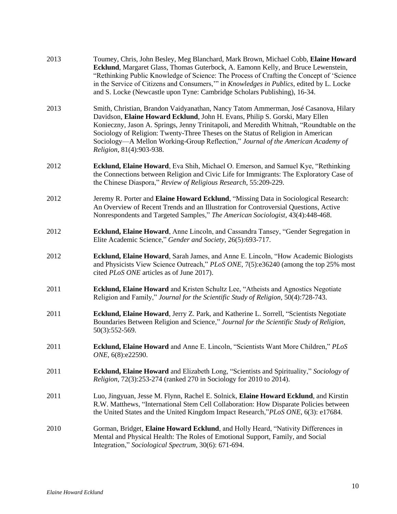| 2013 | Toumey, Chris, John Besley, Meg Blanchard, Mark Brown, Michael Cobb, Elaine Howard<br>Ecklund, Margaret Glass, Thomas Guterbock, A. Eamonn Kelly, and Bruce Lewenstein,<br>"Rethinking Public Knowledge of Science: The Process of Crafting the Concept of 'Science<br>in the Service of Citizens and Consumers," in Knowledges in Publics, edited by L. Locke<br>and S. Locke (Newcastle upon Tyne: Cambridge Scholars Publishing), 16-34.                         |
|------|---------------------------------------------------------------------------------------------------------------------------------------------------------------------------------------------------------------------------------------------------------------------------------------------------------------------------------------------------------------------------------------------------------------------------------------------------------------------|
| 2013 | Smith, Christian, Brandon Vaidyanathan, Nancy Tatom Ammerman, José Casanova, Hilary<br>Davidson, Elaine Howard Ecklund, John H. Evans, Philip S. Gorski, Mary Ellen<br>Konieczny, Jason A. Springs, Jenny Trinitapoli, and Meredith Whitnah, "Roundtable on the<br>Sociology of Religion: Twenty-Three Theses on the Status of Religion in American<br>Sociology-A Mellon Working-Group Reflection," Journal of the American Academy of<br>Religion, 81(4):903-938. |
| 2012 | Ecklund, Elaine Howard, Eva Shih, Michael O. Emerson, and Samuel Kye, "Rethinking<br>the Connections between Religion and Civic Life for Immigrants: The Exploratory Case of<br>the Chinese Diaspora," Review of Religious Research, 55:209-229.                                                                                                                                                                                                                    |
| 2012 | Jeremy R. Porter and Elaine Howard Ecklund, "Missing Data in Sociological Research:<br>An Overview of Recent Trends and an Illustration for Controversial Questions, Active<br>Nonrespondents and Targeted Samples," The American Sociologist, 43(4):448-468.                                                                                                                                                                                                       |
| 2012 | Ecklund, Elaine Howard, Anne Lincoln, and Cassandra Tansey, "Gender Segregation in<br>Elite Academic Science," Gender and Society, 26(5):693-717.                                                                                                                                                                                                                                                                                                                   |
| 2012 | Ecklund, Elaine Howard, Sarah James, and Anne E. Lincoln, "How Academic Biologists"<br>and Physicists View Science Outreach," PLoS ONE, 7(5):e36240 (among the top 25% most<br>cited PLoS ONE articles as of June 2017).                                                                                                                                                                                                                                            |
| 2011 | Ecklund, Elaine Howard and Kristen Schultz Lee, "Atheists and Agnostics Negotiate<br>Religion and Family," Journal for the Scientific Study of Religion, 50(4):728-743.                                                                                                                                                                                                                                                                                             |
| 2011 | Ecklund, Elaine Howard, Jerry Z. Park, and Katherine L. Sorrell, "Scientists Negotiate<br>Boundaries Between Religion and Science," Journal for the Scientific Study of Religion,<br>50(3):552-569.                                                                                                                                                                                                                                                                 |
| 2011 | Ecklund, Elaine Howard and Anne E. Lincoln, "Scientists Want More Children," PLoS<br>ONE, 6(8):e22590.                                                                                                                                                                                                                                                                                                                                                              |
| 2011 | Ecklund, Elaine Howard and Elizabeth Long, "Scientists and Spirituality," Sociology of<br>Religion, 72(3):253-274 (ranked 270 in Sociology for 2010 to 2014).                                                                                                                                                                                                                                                                                                       |
| 2011 | Luo, Jingyuan, Jesse M. Flynn, Rachel E. Solnick, Elaine Howard Ecklund, and Kirstin<br>R.W. Matthews, "International Stem Cell Collaboration: How Disparate Policies between<br>the United States and the United Kingdom Impact Research,"PLoS ONE, 6(3): e17684.                                                                                                                                                                                                  |
| 2010 | Gorman, Bridget, Elaine Howard Ecklund, and Holly Heard, "Nativity Differences in<br>Mental and Physical Health: The Roles of Emotional Support, Family, and Social<br>Integration," Sociological Spectrum, 30(6): 671-694.                                                                                                                                                                                                                                         |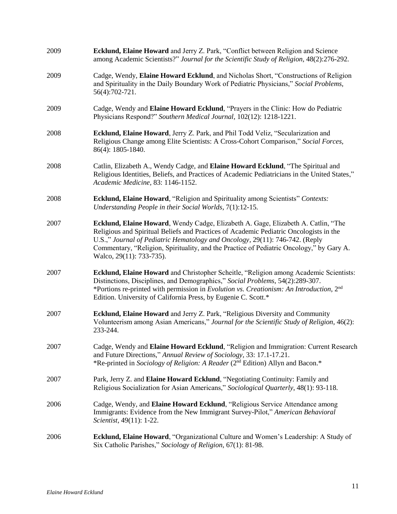| 2009 | Ecklund, Elaine Howard and Jerry Z. Park, "Conflict between Religion and Science<br>among Academic Scientists?" Journal for the Scientific Study of Religion, 48(2):276-292.                                                                                                                                                                                                        |
|------|-------------------------------------------------------------------------------------------------------------------------------------------------------------------------------------------------------------------------------------------------------------------------------------------------------------------------------------------------------------------------------------|
| 2009 | Cadge, Wendy, Elaine Howard Ecklund, and Nicholas Short, "Constructions of Religion<br>and Spirituality in the Daily Boundary Work of Pediatric Physicians," Social Problems,<br>56(4):702-721.                                                                                                                                                                                     |
| 2009 | Cadge, Wendy and Elaine Howard Ecklund, "Prayers in the Clinic: How do Pediatric<br>Physicians Respond?" Southern Medical Journal, 102(12): 1218-1221.                                                                                                                                                                                                                              |
| 2008 | Ecklund, Elaine Howard, Jerry Z. Park, and Phil Todd Veliz, "Secularization and<br>Religious Change among Elite Scientists: A Cross-Cohort Comparison," Social Forces,<br>86(4): 1805-1840.                                                                                                                                                                                         |
| 2008 | Catlin, Elizabeth A., Wendy Cadge, and Elaine Howard Ecklund, "The Spiritual and<br>Religious Identities, Beliefs, and Practices of Academic Pediatricians in the United States,"<br>Academic Medicine, 83: 1146-1152.                                                                                                                                                              |
| 2008 | <b>Ecklund, Elaine Howard</b> , "Religion and Spirituality among Scientists" Contexts:<br>Understanding People in their Social Worlds, 7(1):12-15.                                                                                                                                                                                                                                  |
| 2007 | Ecklund, Elaine Howard, Wendy Cadge, Elizabeth A. Gage, Elizabeth A. Catlin, "The<br>Religious and Spiritual Beliefs and Practices of Academic Pediatric Oncologists in the<br>U.S.," Journal of Pediatric Hematology and Oncology, 29(11): 746-742. (Reply<br>Commentary, "Religion, Spirituality, and the Practice of Pediatric Oncology," by Gary A.<br>Walco, 29(11): 733-735). |
| 2007 | Ecklund, Elaine Howard and Christopher Scheitle, "Religion among Academic Scientists:<br>Distinctions, Disciplines, and Demographics," Social Problems, 54(2):289-307.<br>*Portions re-printed with permission in Evolution vs. Creationism: An Introduction, 2 <sup>nd</sup><br>Edition. University of California Press, by Eugenie C. Scott.*                                     |
| 2007 | <b>Ecklund, Elaine Howard</b> and Jerry Z. Park, "Religious Diversity and Community<br>Volunteerism among Asian Americans," Journal for the Scientific Study of Religion, 46(2):<br>233-244.                                                                                                                                                                                        |
| 2007 | Cadge, Wendy and Elaine Howard Ecklund, "Religion and Immigration: Current Research<br>and Future Directions," Annual Review of Sociology, 33: 17.1-17.21.<br>*Re-printed in Sociology of Religion: A Reader (2 <sup>nd</sup> Edition) Allyn and Bacon.*                                                                                                                            |
| 2007 | Park, Jerry Z. and Elaine Howard Ecklund, "Negotiating Continuity: Family and<br>Religious Socialization for Asian Americans," Sociological Quarterly, 48(1): 93-118.                                                                                                                                                                                                               |
| 2006 | Cadge, Wendy, and Elaine Howard Ecklund, "Religious Service Attendance among<br>Immigrants: Evidence from the New Immigrant Survey-Pilot," American Behavioral<br>Scientist, 49(11): 1-22.                                                                                                                                                                                          |
| 2006 | Ecklund, Elaine Howard, "Organizational Culture and Women's Leadership: A Study of<br>Six Catholic Parishes," Sociology of Religion, 67(1): 81-98.                                                                                                                                                                                                                                  |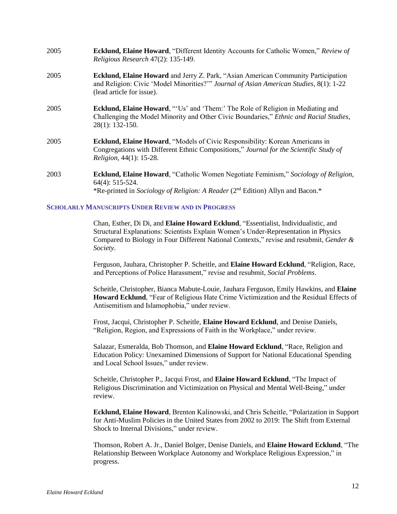| 2005 | <b>Ecklund, Elaine Howard, "Different Identity Accounts for Catholic Women," Review of</b><br>Religious Research 47(2): 135-149.                                                                                |
|------|-----------------------------------------------------------------------------------------------------------------------------------------------------------------------------------------------------------------|
| 2005 | Ecklund, Elaine Howard and Jerry Z. Park, "Asian American Community Participation<br>and Religion: Civic 'Model Minorities?'" Journal of Asian American Studies, 8(1): 1-22<br>(lead article for issue).        |
| 2005 | <b>Ecklund, Elaine Howard, "'Us' and 'Them:' The Role of Religion in Mediating and</b><br>Challenging the Model Minority and Other Civic Boundaries," Ethnic and Racial Studies,<br>28(1): 132-150.             |
| 2005 | <b>Ecklund, Elaine Howard, "Models of Civic Responsibility: Korean Americans in</b><br>Congregations with Different Ethnic Compositions," Journal for the Scientific Study of<br><i>Religion, 44(1): 15-28.</i> |
| 2003 | <b>Ecklund, Elaine Howard</b> , "Catholic Women Negotiate Feminism," Sociology of Religion,<br>$64(4): 515-524.$<br>*Re-printed in Sociology of Religion: A Reader (2 <sup>nd</sup> Edition) Allyn and Bacon.*  |

#### **SCHOLARLY MANUSCRIPTS UNDER REVIEW AND IN PROGRESS**

Chan, Esther, Di Di, and **Elaine Howard Ecklund**, "Essentialist, Individualistic, and Structural Explanations: Scientists Explain Women's Under-Representation in Physics Compared to Biology in Four Different National Contexts," revise and resubmit, *Gender & Society*.

Ferguson, Jauhara, Christopher P. Scheitle, and **Elaine Howard Ecklund**, "Religion, Race, and Perceptions of Police Harassment," revise and resubmit, *Social Problems*.

Scheitle, Christopher, Bianca Mabute-Louie, Jauhara Ferguson, Emily Hawkins, and **Elaine Howard Ecklund**, "Fear of Religious Hate Crime Victimization and the Residual Effects of Antisemitism and Islamophobia," under review.

Frost, Jacqui, Christopher P. Scheitle, **Elaine Howard Ecklund**, and Denise Daniels, "Religion, Region, and Expressions of Faith in the Workplace," under review.

Salazar, Esmeralda, Bob Thomson, and **Elaine Howard Ecklund**, "Race, Religion and Education Policy: Unexamined Dimensions of Support for National Educational Spending and Local School Issues," under review.

Scheitle, Christopher P., Jacqui Frost, and **Elaine Howard Ecklund**, "The Impact of Religious Discrimination and Victimization on Physical and Mental Well-Being," under review.

**Ecklund, Elaine Howard**, Brenton Kalinowski, and Chris Scheitle, "Polarization in Support for Anti-Muslim Policies in the United States from 2002 to 2019: The Shift from External Shock to Internal Divisions," under review.

Thomson, Robert A. Jr., Daniel Bolger, Denise Daniels, and **Elaine Howard Ecklund**, "The Relationship Between Workplace Autonomy and Workplace Religious Expression," in progress.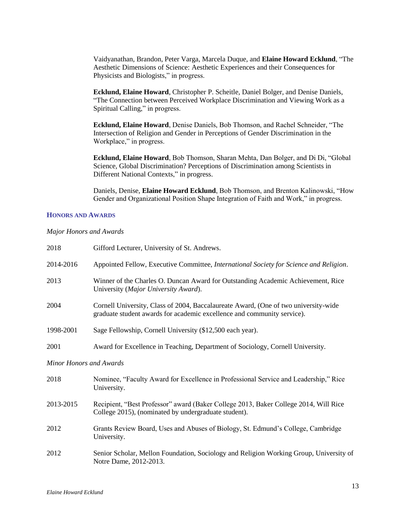Vaidyanathan, Brandon, Peter Varga, Marcela Duque, and **Elaine Howard Ecklund**, "The Aesthetic Dimensions of Science: Aesthetic Experiences and their Consequences for Physicists and Biologists," in progress.

**Ecklund, Elaine Howard**, Christopher P. Scheitle, Daniel Bolger, and Denise Daniels, "The Connection between Perceived Workplace Discrimination and Viewing Work as a Spiritual Calling," in progress.

**Ecklund, Elaine Howard**, Denise Daniels, Bob Thomson, and Rachel Schneider, "The Intersection of Religion and Gender in Perceptions of Gender Discrimination in the Workplace," in progress.

**Ecklund, Elaine Howard**, Bob Thomson, Sharan Mehta, Dan Bolger, and Di Di, "Global Science, Global Discrimination? Perceptions of Discrimination among Scientists in Different National Contexts," in progress.

Daniels, Denise, **Elaine Howard Ecklund**, Bob Thomson, and Brenton Kalinowski, "How Gender and Organizational Position Shape Integration of Faith and Work," in progress.

#### **HONORS AND AWARDS**

### *Major Honors and Awards*

| 2018                    | Gifford Lecturer, University of St. Andrews.                                                                                                                   |  |
|-------------------------|----------------------------------------------------------------------------------------------------------------------------------------------------------------|--|
| 2014-2016               | Appointed Fellow, Executive Committee, <i>International Society for Science and Religion</i> .                                                                 |  |
| 2013                    | Winner of the Charles O. Duncan Award for Outstanding Academic Achievement, Rice<br>University (Major University Award).                                       |  |
| 2004                    | Cornell University, Class of 2004, Baccalaureate Award, (One of two university-wide<br>graduate student awards for academic excellence and community service). |  |
| 1998-2001               | Sage Fellowship, Cornell University (\$12,500 each year).                                                                                                      |  |
| 2001                    | Award for Excellence in Teaching, Department of Sociology, Cornell University.                                                                                 |  |
| Minor Honors and Awards |                                                                                                                                                                |  |
| 2018                    | Nominee, "Faculty Award for Excellence in Professional Service and Leadership," Rice<br>University.                                                            |  |
| 2013-2015               | Recipient, "Best Professor" award (Baker College 2013, Baker College 2014, Will Rice<br>College 2015), (nominated by undergraduate student).                   |  |
| 2012                    | Grants Review Board, Uses and Abuses of Biology, St. Edmund's College, Cambridge<br>University.                                                                |  |
| 2012                    | Senior Scholar, Mellon Foundation, Sociology and Religion Working Group, University of<br>Notre Dame, 2012-2013.                                               |  |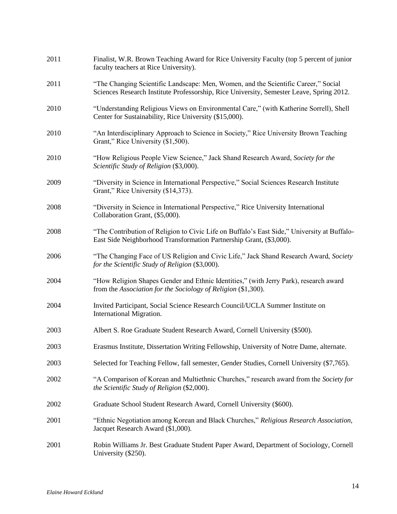| 2011 | Finalist, W.R. Brown Teaching Award for Rice University Faculty (top 5 percent of junior<br>faculty teachers at Rice University).                                              |
|------|--------------------------------------------------------------------------------------------------------------------------------------------------------------------------------|
| 2011 | "The Changing Scientific Landscape: Men, Women, and the Scientific Career," Social<br>Sciences Research Institute Professorship, Rice University, Semester Leave, Spring 2012. |
| 2010 | "Understanding Religious Views on Environmental Care," (with Katherine Sorrell), Shell<br>Center for Sustainability, Rice University (\$15,000).                               |
| 2010 | "An Interdisciplinary Approach to Science in Society," Rice University Brown Teaching<br>Grant," Rice University (\$1,500).                                                    |
| 2010 | "How Religious People View Science," Jack Shand Research Award, Society for the<br>Scientific Study of Religion (\$3,000).                                                     |
| 2009 | "Diversity in Science in International Perspective," Social Sciences Research Institute<br>Grant," Rice University (\$14,373).                                                 |
| 2008 | "Diversity in Science in International Perspective," Rice University International<br>Collaboration Grant, (\$5,000).                                                          |
| 2008 | "The Contribution of Religion to Civic Life on Buffalo's East Side," University at Buffalo-<br>East Side Neighborhood Transformation Partnership Grant, (\$3,000).             |
| 2006 | "The Changing Face of US Religion and Civic Life," Jack Shand Research Award, Society<br>for the Scientific Study of Religion (\$3,000).                                       |
| 2004 | "How Religion Shapes Gender and Ethnic Identities," (with Jerry Park), research award<br>from the Association for the Sociology of Religion (\$1,300).                         |
| 2004 | Invited Participant, Social Science Research Council/UCLA Summer Institute on<br>International Migration.                                                                      |
| 2003 | Albert S. Roe Graduate Student Research Award, Cornell University (\$500).                                                                                                     |
| 2003 | Erasmus Institute, Dissertation Writing Fellowship, University of Notre Dame, alternate.                                                                                       |
| 2003 | Selected for Teaching Fellow, fall semester, Gender Studies, Cornell University (\$7,765).                                                                                     |
| 2002 | "A Comparison of Korean and Multiethnic Churches," research award from the Society for<br>the Scientific Study of Religion (\$2,000).                                          |
| 2002 | Graduate School Student Research Award, Cornell University (\$600).                                                                                                            |
| 2001 | "Ethnic Negotiation among Korean and Black Churches," Religious Research Association,<br>Jacquet Research Award (\$1,000).                                                     |
| 2001 | Robin Williams Jr. Best Graduate Student Paper Award, Department of Sociology, Cornell<br>University (\$250).                                                                  |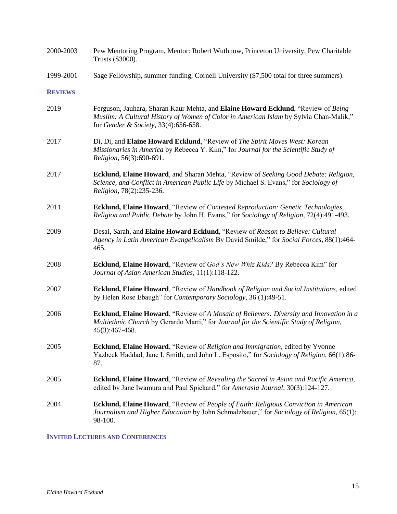| 2000-2003      | Pew Mentoring Program, Mentor: Robert Wuthnow, Princeton University, Pew Charitable<br>Trusts (\$3000).                                                                                                            |
|----------------|--------------------------------------------------------------------------------------------------------------------------------------------------------------------------------------------------------------------|
| 1999-2001      | Sage Fellowship, summer funding, Cornell University (\$7,500 total for three summers).                                                                                                                             |
| <b>REVIEWS</b> |                                                                                                                                                                                                                    |
| 2019           | Ferguson, Jauhara, Sharan Kaur Mehta, and Elaine Howard Ecklund, "Review of Being<br>Muslim: A Cultural History of Women of Color in American Islam by Sylvia Chan-Malik,"<br>for Gender & Society, 33(4):656-658. |
| 2017           | Di, Di, and Elaine Howard Ecklund, "Review of The Spirit Moves West: Korean<br>Missionaries in America by Rebecca Y. Kim," for Journal for the Scientific Study of<br>Religion, 56(3):690-691.                     |
| 2017           | Ecklund, Elaine Howard, and Sharan Mehta, "Review of Seeking Good Debate: Religion,<br>Science, and Conflict in American Public Life by Michael S. Evans," for Sociology of<br>Religion, 78(2):235-236.            |
| 2011           | Ecklund, Elaine Howard, "Review of Contested Reproduction: Genetic Technologies,<br>Religion and Public Debate by John H. Evans," for Sociology of Religion, 72(4):491-493.                                        |
| 2009           | Desai, Sarah, and Elaine Howard Ecklund, "Review of Reason to Believe: Cultural<br>Agency in Latin American Evangelicalism By David Smilde," for Social Forces, 88(1):464-<br>465.                                 |
| 2008           | Ecklund, Elaine Howard, "Review of God's New Whiz Kids? By Rebecca Kim" for<br>Journal of Asian American Studies, 11(1):118-122.                                                                                   |
| 2007           | Ecklund, Elaine Howard, "Review of Handbook of Religion and Social Institutions, edited<br>by Helen Rose Ebaugh" for Contemporary Sociology, 36 (1):49-51.                                                         |
| 2006           | Ecklund, Elaine Howard, "Review of A Mosaic of Believers: Diversity and Innovation in a<br>Multiethnic Church by Gerardo Marti," for Journal for the Scientific Study of Religion,<br>45(3):467-468.               |
| 2005           | <b>Ecklund, Elaine Howard, "Review of Religion and Immigration, edited by Yvonne</b><br>Yazbeck Haddad, Jane I. Smith, and John L. Esposito," for Sociology of Religion, 66(1):86-<br>87.                          |
| 2005           | Ecklund, Elaine Howard, "Review of Revealing the Sacred in Asian and Pacific America,<br>edited by Jane Iwamura and Paul Spickard," for Amerasia Journal, 30(3):124-127.                                           |
| 2004           | <b>Ecklund, Elaine Howard</b> , "Review of People of Faith: Religious Conviction in American<br>Journalism and Higher Education by John Schmalzbauer," for Sociology of Religion, 65(1):<br>98-100.                |

# **INVITED LECTURES AND CONFERENCES**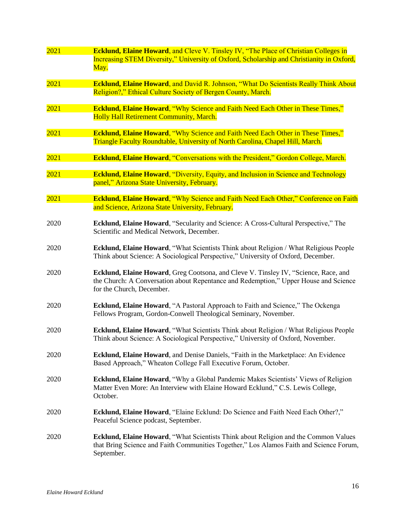| 2021 | <b>Ecklund, Elaine Howard, and Cleve V. Tinsley IV, "The Place of Christian Colleges in</b>                                                                                  |
|------|------------------------------------------------------------------------------------------------------------------------------------------------------------------------------|
|      | Increasing STEM Diversity," University of Oxford, Scholarship and Christianity in Oxford,                                                                                    |
|      | May.                                                                                                                                                                         |
|      |                                                                                                                                                                              |
| 2021 | <b>Ecklund, Elaine Howard, and David R. Johnson, "What Do Scientists Really Think About</b>                                                                                  |
|      | Religion?," Ethical Culture Society of Bergen County, March.                                                                                                                 |
| 2021 | <b>Ecklund, Elaine Howard, "Why Science and Faith Need Each Other in These Times,"</b>                                                                                       |
|      | <b>Holly Hall Retirement Community, March.</b>                                                                                                                               |
|      |                                                                                                                                                                              |
| 2021 | <b>Ecklund, Elaine Howard, "Why Science and Faith Need Each Other in These Times,"</b>                                                                                       |
|      | Triangle Faculty Roundtable, University of North Carolina, Chapel Hill, March.                                                                                               |
|      |                                                                                                                                                                              |
| 2021 | <b>Ecklund, Elaine Howard, "Conversations with the President," Gordon College, March.</b>                                                                                    |
| 2021 | <b>Ecklund, Elaine Howard, "Diversity, Equity, and Inclusion in Science and Technology</b>                                                                                   |
|      | panel," Arizona State University, February.                                                                                                                                  |
|      |                                                                                                                                                                              |
| 2021 | <b>Ecklund, Elaine Howard, "Why Science and Faith Need Each Other," Conference on Faith</b>                                                                                  |
|      | and Science, Arizona State University, February.                                                                                                                             |
|      |                                                                                                                                                                              |
| 2020 | Ecklund, Elaine Howard, "Secularity and Science: A Cross-Cultural Perspective," The                                                                                          |
|      | Scientific and Medical Network, December.                                                                                                                                    |
| 2020 | Ecklund, Elaine Howard, "What Scientists Think about Religion / What Religious People                                                                                        |
|      | Think about Science: A Sociological Perspective," University of Oxford, December.                                                                                            |
|      |                                                                                                                                                                              |
| 2020 | Ecklund, Elaine Howard, Greg Cootsona, and Cleve V. Tinsley IV, "Science, Race, and                                                                                          |
|      | the Church: A Conversation about Repentance and Redemption," Upper House and Science                                                                                         |
|      | for the Church, December.                                                                                                                                                    |
|      |                                                                                                                                                                              |
| 2020 | Ecklund, Elaine Howard, "A Pastoral Approach to Faith and Science," The Ockenga                                                                                              |
|      | Fellows Program, Gordon-Conwell Theological Seminary, November.                                                                                                              |
| 2020 | Ecklund, Elaine Howard, "What Scientists Think about Religion / What Religious People                                                                                        |
|      | Think about Science: A Sociological Perspective," University of Oxford, November.                                                                                            |
|      |                                                                                                                                                                              |
| 2020 | Ecklund, Elaine Howard, and Denise Daniels, "Faith in the Marketplace: An Evidence                                                                                           |
|      | Based Approach," Wheaton College Fall Executive Forum, October.                                                                                                              |
|      |                                                                                                                                                                              |
| 2020 | <b>Ecklund, Elaine Howard, "Why a Global Pandemic Makes Scientists' Views of Religion</b><br>Matter Even More: An Interview with Elaine Howard Ecklund," C.S. Lewis College, |
|      | October.                                                                                                                                                                     |
|      |                                                                                                                                                                              |
| 2020 | <b>Ecklund, Elaine Howard, "Elaine Ecklund: Do Science and Faith Need Each Other?,"</b>                                                                                      |
|      | Peaceful Science podcast, September.                                                                                                                                         |
|      |                                                                                                                                                                              |
| 2020 | Ecklund, Elaine Howard, "What Scientists Think about Religion and the Common Values                                                                                          |
|      | that Bring Science and Faith Communities Together," Los Alamos Faith and Science Forum,                                                                                      |
|      | September.                                                                                                                                                                   |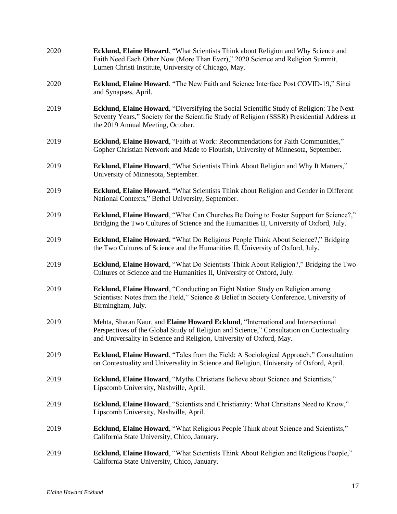| 2020 | Ecklund, Elaine Howard, "What Scientists Think about Religion and Why Science and<br>Faith Need Each Other Now (More Than Ever)," 2020 Science and Religion Summit,<br>Lumen Christi Institute, University of Chicago, May.                          |
|------|------------------------------------------------------------------------------------------------------------------------------------------------------------------------------------------------------------------------------------------------------|
| 2020 | Ecklund, Elaine Howard, "The New Faith and Science Interface Post COVID-19," Sinai<br>and Synapses, April.                                                                                                                                           |
| 2019 | Ecklund, Elaine Howard, "Diversifying the Social Scientific Study of Religion: The Next<br>Seventy Years," Society for the Scientific Study of Religion (SSSR) Presidential Address at<br>the 2019 Annual Meeting, October.                          |
| 2019 | Ecklund, Elaine Howard, "Faith at Work: Recommendations for Faith Communities,"<br>Gopher Christian Network and Made to Flourish, University of Minnesota, September.                                                                                |
| 2019 | Ecklund, Elaine Howard, "What Scientists Think About Religion and Why It Matters,"<br>University of Minnesota, September.                                                                                                                            |
| 2019 | Ecklund, Elaine Howard, "What Scientists Think about Religion and Gender in Different<br>National Contexts," Bethel University, September.                                                                                                           |
| 2019 | <b>Ecklund, Elaine Howard, "What Can Churches Be Doing to Foster Support for Science?,"</b><br>Bridging the Two Cultures of Science and the Humanities II, University of Oxford, July.                                                               |
| 2019 | Ecklund, Elaine Howard, "What Do Religious People Think About Science?," Bridging<br>the Two Cultures of Science and the Humanities II, University of Oxford, July.                                                                                  |
| 2019 | <b>Ecklund, Elaine Howard, "What Do Scientists Think About Religion?," Bridging the Two</b><br>Cultures of Science and the Humanities II, University of Oxford, July.                                                                                |
| 2019 | Ecklund, Elaine Howard, "Conducting an Eight Nation Study on Religion among<br>Scientists: Notes from the Field," Science & Belief in Society Conference, University of<br>Birmingham, July.                                                         |
| 2019 | Mehta, Sharan Kaur, and Elaine Howard Ecklund, "International and Intersectional<br>Perspectives of the Global Study of Religion and Science," Consultation on Contextuality<br>and Universality in Science and Religion, University of Oxford, May. |
| 2019 | <b>Ecklund, Elaine Howard, "Tales from the Field: A Sociological Approach," Consultation</b><br>on Contextuality and Universality in Science and Religion, University of Oxford, April.                                                              |
| 2019 | Ecklund, Elaine Howard, "Myths Christians Believe about Science and Scientists,"<br>Lipscomb University, Nashville, April.                                                                                                                           |
| 2019 | <b>Ecklund, Elaine Howard, "Scientists and Christianity: What Christians Need to Know,"</b><br>Lipscomb University, Nashville, April.                                                                                                                |
| 2019 | Ecklund, Elaine Howard, "What Religious People Think about Science and Scientists,"<br>California State University, Chico, January.                                                                                                                  |
| 2019 | <b>Ecklund, Elaine Howard, "What Scientists Think About Religion and Religious People,"</b><br>California State University, Chico, January.                                                                                                          |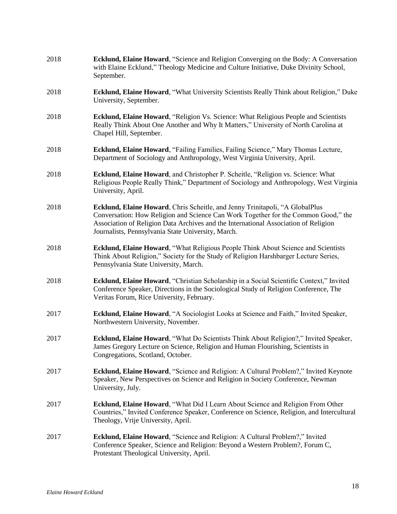| 2018 | Ecklund, Elaine Howard, "Science and Religion Converging on the Body: A Conversation<br>with Elaine Ecklund," Theology Medicine and Culture Initiative, Duke Divinity School,<br>September.                                                                                                                     |
|------|-----------------------------------------------------------------------------------------------------------------------------------------------------------------------------------------------------------------------------------------------------------------------------------------------------------------|
| 2018 | Ecklund, Elaine Howard, "What University Scientists Really Think about Religion," Duke<br>University, September.                                                                                                                                                                                                |
| 2018 | <b>Ecklund, Elaine Howard, "Religion Vs. Science: What Religious People and Scientists</b><br>Really Think About One Another and Why It Matters," University of North Carolina at<br>Chapel Hill, September.                                                                                                    |
| 2018 | Ecklund, Elaine Howard, "Failing Families, Failing Science," Mary Thomas Lecture,<br>Department of Sociology and Anthropology, West Virginia University, April.                                                                                                                                                 |
| 2018 | Ecklund, Elaine Howard, and Christopher P. Scheitle, "Religion vs. Science: What<br>Religious People Really Think," Department of Sociology and Anthropology, West Virginia<br>University, April.                                                                                                               |
| 2018 | Ecklund, Elaine Howard, Chris Scheitle, and Jenny Trinitapoli, "A GlobalPlus<br>Conversation: How Religion and Science Can Work Together for the Common Good," the<br>Association of Religion Data Archives and the International Association of Religion<br>Journalists, Pennsylvania State University, March. |
| 2018 | Ecklund, Elaine Howard, "What Religious People Think About Science and Scientists<br>Think About Religion," Society for the Study of Religion Harshbarger Lecture Series,<br>Pennsylvania State University, March.                                                                                              |
| 2018 | Ecklund, Elaine Howard, "Christian Scholarship in a Social Scientific Context," Invited<br>Conference Speaker, Directions in the Sociological Study of Religion Conference, The<br>Veritas Forum, Rice University, February.                                                                                    |
| 2017 | Ecklund, Elaine Howard, "A Sociologist Looks at Science and Faith," Invited Speaker,<br>Northwestern University, November.                                                                                                                                                                                      |
| 2017 | Ecklund, Elaine Howard, "What Do Scientists Think About Religion?," Invited Speaker,<br>James Gregory Lecture on Science, Religion and Human Flourishing, Scientists in<br>Congregations, Scotland, October.                                                                                                    |
| 2017 | Ecklund, Elaine Howard, "Science and Religion: A Cultural Problem?," Invited Keynote<br>Speaker, New Perspectives on Science and Religion in Society Conference, Newman<br>University, July.                                                                                                                    |
| 2017 | Ecklund, Elaine Howard, "What Did I Learn About Science and Religion From Other<br>Countries," Invited Conference Speaker, Conference on Science, Religion, and Intercultural<br>Theology, Vrije University, April.                                                                                             |
| 2017 | Ecklund, Elaine Howard, "Science and Religion: A Cultural Problem?," Invited<br>Conference Speaker, Science and Religion: Beyond a Western Problem?, Forum C,<br>Protestant Theological University, April.                                                                                                      |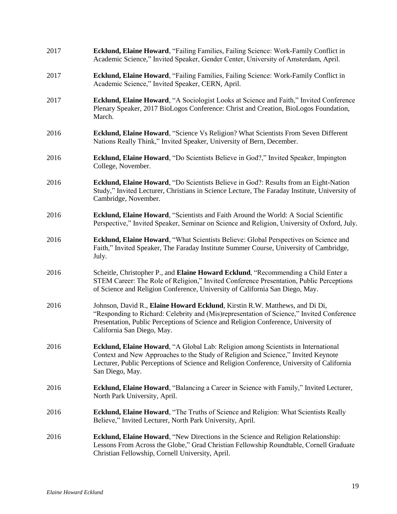| 2017 | Ecklund, Elaine Howard, "Failing Families, Failing Science: Work-Family Conflict in<br>Academic Science," Invited Speaker, Gender Center, University of Amsterdam, April.                                                                                                                    |
|------|----------------------------------------------------------------------------------------------------------------------------------------------------------------------------------------------------------------------------------------------------------------------------------------------|
| 2017 | Ecklund, Elaine Howard, "Failing Families, Failing Science: Work-Family Conflict in<br>Academic Science," Invited Speaker, CERN, April.                                                                                                                                                      |
| 2017 | Ecklund, Elaine Howard, "A Sociologist Looks at Science and Faith," Invited Conference<br>Plenary Speaker, 2017 BioLogos Conference: Christ and Creation, BioLogos Foundation,<br>March.                                                                                                     |
| 2016 | Ecklund, Elaine Howard, "Science Vs Religion? What Scientists From Seven Different<br>Nations Really Think," Invited Speaker, University of Bern, December.                                                                                                                                  |
| 2016 | Ecklund, Elaine Howard, "Do Scientists Believe in God?," Invited Speaker, Impington<br>College, November.                                                                                                                                                                                    |
| 2016 | Ecklund, Elaine Howard, "Do Scientists Believe in God?: Results from an Eight-Nation<br>Study," Invited Lecturer, Christians in Science Lecture, The Faraday Institute, University of<br>Cambridge, November.                                                                                |
| 2016 | Ecklund, Elaine Howard, "Scientists and Faith Around the World: A Social Scientific<br>Perspective," Invited Speaker, Seminar on Science and Religion, University of Oxford, July.                                                                                                           |
| 2016 | Ecklund, Elaine Howard, "What Scientists Believe: Global Perspectives on Science and<br>Faith," Invited Speaker, The Faraday Institute Summer Course, University of Cambridge,<br>July.                                                                                                      |
| 2016 | Scheitle, Christopher P., and Elaine Howard Ecklund, "Recommending a Child Enter a<br>STEM Career: The Role of Religion," Invited Conference Presentation, Public Perceptions<br>of Science and Religion Conference, University of California San Diego, May.                                |
| 2016 | Johnson, David R., Elaine Howard Ecklund, Kirstin R.W. Matthews, and Di Di,<br>"Responding to Richard: Celebrity and (Mis)representation of Science," Invited Conference<br>Presentation, Public Perceptions of Science and Religion Conference, University of<br>California San Diego, May. |
| 2016 | Ecklund, Elaine Howard, "A Global Lab: Religion among Scientists in International<br>Context and New Approaches to the Study of Religion and Science," Invited Keynote<br>Lecturer, Public Perceptions of Science and Religion Conference, University of California<br>San Diego, May.       |
| 2016 | <b>Ecklund, Elaine Howard, "Balancing a Career in Science with Family," Invited Lecturer,</b><br>North Park University, April.                                                                                                                                                               |
| 2016 | Ecklund, Elaine Howard, "The Truths of Science and Religion: What Scientists Really<br>Believe," Invited Lecturer, North Park University, April.                                                                                                                                             |
| 2016 | Ecklund, Elaine Howard, "New Directions in the Science and Religion Relationship:<br>Lessons From Across the Globe," Grad Christian Fellowship Roundtable, Cornell Graduate<br>Christian Fellowship, Cornell University, April.                                                              |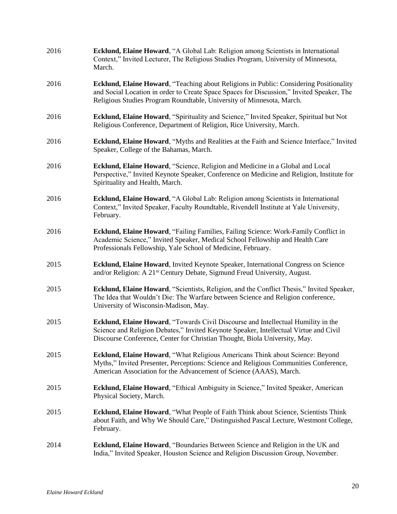| 2016 | Ecklund, Elaine Howard, "A Global Lab: Religion among Scientists in International<br>Context," Invited Lecturer, The Religious Studies Program, University of Minnesota,<br>March.                                                                                  |
|------|---------------------------------------------------------------------------------------------------------------------------------------------------------------------------------------------------------------------------------------------------------------------|
| 2016 | <b>Ecklund, Elaine Howard, "Teaching about Religions in Public: Considering Positionality</b><br>and Social Location in order to Create Space Spaces for Discussion," Invited Speaker, The<br>Religious Studies Program Roundtable, University of Minnesota, March. |
| 2016 | Ecklund, Elaine Howard, "Spirituality and Science," Invited Speaker, Spiritual but Not<br>Religious Conference, Department of Religion, Rice University, March.                                                                                                     |
| 2016 | Ecklund, Elaine Howard, "Myths and Realities at the Faith and Science Interface," Invited<br>Speaker, College of the Bahamas, March.                                                                                                                                |
| 2016 | Ecklund, Elaine Howard, "Science, Religion and Medicine in a Global and Local<br>Perspective," Invited Keynote Speaker, Conference on Medicine and Religion, Institute for<br>Spirituality and Health, March.                                                       |
| 2016 | Ecklund, Elaine Howard, "A Global Lab: Religion among Scientists in International<br>Context," Invited Speaker, Faculty Roundtable, Rivendell Institute at Yale University,<br>February.                                                                            |
| 2016 | Ecklund, Elaine Howard, "Failing Families, Failing Science: Work-Family Conflict in<br>Academic Science," Invited Speaker, Medical School Fellowship and Health Care<br>Professionals Fellowship, Yale School of Medicine, February.                                |
| 2015 | Ecklund, Elaine Howard, Invited Keynote Speaker, International Congress on Science<br>and/or Religion: A 21 <sup>st</sup> Century Debate, Sigmund Freud University, August.                                                                                         |
| 2015 | Ecklund, Elaine Howard, "Scientists, Religion, and the Conflict Thesis," Invited Speaker,<br>The Idea that Wouldn't Die: The Warfare between Science and Religion conference,<br>University of Wisconsin-Madison, May.                                              |
| 2015 | Ecklund, Elaine Howard, "Towards Civil Discourse and Intellectual Humility in the<br>Science and Religion Debates," Invited Keynote Speaker, Intellectual Virtue and Civil<br>Discourse Conference, Center for Christian Thought, Biola University, May.            |
| 2015 | Ecklund, Elaine Howard, "What Religious Americans Think about Science: Beyond<br>Myths," Invited Presenter, Perceptions: Science and Religious Communities Conference,<br>American Association for the Advancement of Science (AAAS), March.                        |
| 2015 | Ecklund, Elaine Howard, "Ethical Ambiguity in Science," Invited Speaker, American<br>Physical Society, March.                                                                                                                                                       |
| 2015 | Ecklund, Elaine Howard, "What People of Faith Think about Science, Scientists Think<br>about Faith, and Why We Should Care," Distinguished Pascal Lecture, Westmont College,<br>February.                                                                           |
| 2014 | Ecklund, Elaine Howard, "Boundaries Between Science and Religion in the UK and<br>India," Invited Speaker, Houston Science and Religion Discussion Group, November.                                                                                                 |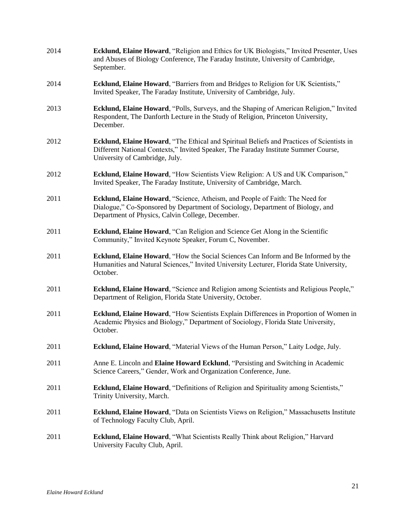| 2014 | Ecklund, Elaine Howard, "Religion and Ethics for UK Biologists," Invited Presenter, Uses<br>and Abuses of Biology Conference, The Faraday Institute, University of Cambridge,<br>September.                        |
|------|--------------------------------------------------------------------------------------------------------------------------------------------------------------------------------------------------------------------|
| 2014 | Ecklund, Elaine Howard, "Barriers from and Bridges to Religion for UK Scientists,"<br>Invited Speaker, The Faraday Institute, University of Cambridge, July.                                                       |
| 2013 | Ecklund, Elaine Howard, "Polls, Surveys, and the Shaping of American Religion," Invited<br>Respondent, The Danforth Lecture in the Study of Religion, Princeton University,<br>December.                           |
| 2012 | Ecklund, Elaine Howard, "The Ethical and Spiritual Beliefs and Practices of Scientists in<br>Different National Contexts," Invited Speaker, The Faraday Institute Summer Course,<br>University of Cambridge, July. |
| 2012 | Ecklund, Elaine Howard, "How Scientists View Religion: A US and UK Comparison,"<br>Invited Speaker, The Faraday Institute, University of Cambridge, March.                                                         |
| 2011 | Ecklund, Elaine Howard, "Science, Atheism, and People of Faith: The Need for<br>Dialogue," Co-Sponsored by Department of Sociology, Department of Biology, and<br>Department of Physics, Calvin College, December. |
| 2011 | <b>Ecklund, Elaine Howard, "Can Religion and Science Get Along in the Scientific</b><br>Community," Invited Keynote Speaker, Forum C, November.                                                                    |
| 2011 | Ecklund, Elaine Howard, "How the Social Sciences Can Inform and Be Informed by the<br>Humanities and Natural Sciences," Invited University Lecturer, Florida State University,<br>October.                         |
| 2011 | <b>Ecklund, Elaine Howard, "Science and Religion among Scientists and Religious People,"</b><br>Department of Religion, Florida State University, October.                                                         |
| 2011 | Ecklund, Elaine Howard, "How Scientists Explain Differences in Proportion of Women in<br>Academic Physics and Biology," Department of Sociology, Florida State University,<br>October.                             |
| 2011 | <b>Ecklund, Elaine Howard, "Material Views of the Human Person," Laity Lodge, July.</b>                                                                                                                            |
| 2011 | Anne E. Lincoln and Elaine Howard Ecklund, "Persisting and Switching in Academic<br>Science Careers," Gender, Work and Organization Conference, June.                                                              |
| 2011 | Ecklund, Elaine Howard, "Definitions of Religion and Spirituality among Scientists,"<br>Trinity University, March.                                                                                                 |
| 2011 | Ecklund, Elaine Howard, "Data on Scientists Views on Religion," Massachusetts Institute<br>of Technology Faculty Club, April.                                                                                      |
| 2011 | <b>Ecklund, Elaine Howard, "What Scientists Really Think about Religion," Harvard</b><br>University Faculty Club, April.                                                                                           |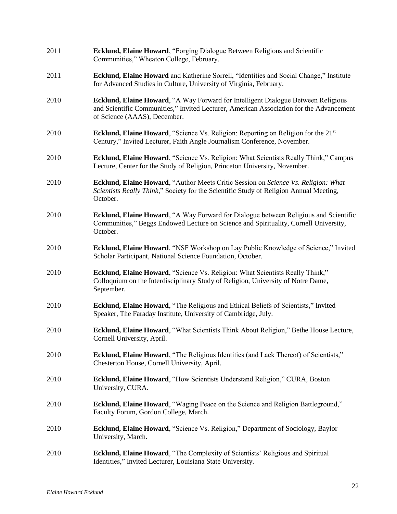| 2011 | <b>Ecklund, Elaine Howard, "Forging Dialogue Between Religious and Scientific</b><br>Communities," Wheaton College, February.                                                                                |
|------|--------------------------------------------------------------------------------------------------------------------------------------------------------------------------------------------------------------|
| 2011 | <b>Ecklund, Elaine Howard</b> and Katherine Sorrell, "Identities and Social Change," Institute<br>for Advanced Studies in Culture, University of Virginia, February.                                         |
| 2010 | Ecklund, Elaine Howard, "A Way Forward for Intelligent Dialogue Between Religious<br>and Scientific Communities," Invited Lecturer, American Association for the Advancement<br>of Science (AAAS), December. |
| 2010 | <b>Ecklund, Elaine Howard, "Science Vs. Religion: Reporting on Religion for the 21st</b><br>Century," Invited Lecturer, Faith Angle Journalism Conference, November.                                         |
| 2010 | <b>Ecklund, Elaine Howard, "Science Vs. Religion: What Scientists Really Think," Campus</b><br>Lecture, Center for the Study of Religion, Princeton University, November.                                    |
| 2010 | Ecklund, Elaine Howard, "Author Meets Critic Session on Science Vs. Religion: What<br>Scientists Really Think," Society for the Scientific Study of Religion Annual Meeting,<br>October.                     |
| 2010 | Ecklund, Elaine Howard, "A Way Forward for Dialogue between Religious and Scientific<br>Communities," Beggs Endowed Lecture on Science and Spirituality, Cornell University,<br>October.                     |
| 2010 | Ecklund, Elaine Howard, "NSF Workshop on Lay Public Knowledge of Science," Invited<br>Scholar Participant, National Science Foundation, October.                                                             |
| 2010 | Ecklund, Elaine Howard, "Science Vs. Religion: What Scientists Really Think,"<br>Colloquium on the Interdisciplinary Study of Religion, University of Notre Dame,<br>September.                              |
| 2010 | Ecklund, Elaine Howard, "The Religious and Ethical Beliefs of Scientists," Invited<br>Speaker, The Faraday Institute, University of Cambridge, July.                                                         |
| 2010 | Ecklund, Elaine Howard, "What Scientists Think About Religion," Bethe House Lecture,<br>Cornell University, April.                                                                                           |
| 2010 | Ecklund, Elaine Howard, "The Religious Identities (and Lack Thereof) of Scientists,"<br>Chesterton House, Cornell University, April.                                                                         |
| 2010 | Ecklund, Elaine Howard, "How Scientists Understand Religion," CURA, Boston<br>University, CURA.                                                                                                              |
| 2010 | <b>Ecklund, Elaine Howard, "Waging Peace on the Science and Religion Battleground,"</b><br>Faculty Forum, Gordon College, March.                                                                             |
| 2010 | <b>Ecklund, Elaine Howard, "Science Vs. Religion," Department of Sociology, Baylor</b><br>University, March.                                                                                                 |
| 2010 | <b>Ecklund, Elaine Howard, "The Complexity of Scientists' Religious and Spiritual</b><br>Identities," Invited Lecturer, Louisiana State University.                                                          |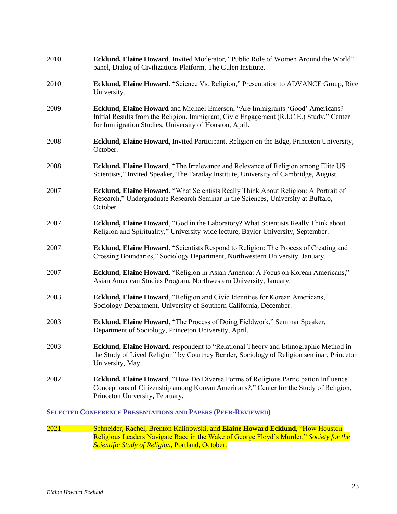| 2010                                                                | Ecklund, Elaine Howard, Invited Moderator, "Public Role of Women Around the World"<br>panel, Dialog of Civilizations Platform, The Gulen Institute.                                                                                 |
|---------------------------------------------------------------------|-------------------------------------------------------------------------------------------------------------------------------------------------------------------------------------------------------------------------------------|
| 2010                                                                | <b>Ecklund, Elaine Howard, "Science Vs. Religion," Presentation to ADVANCE Group, Rice</b><br>University.                                                                                                                           |
| 2009                                                                | Ecklund, Elaine Howard and Michael Emerson, "Are Immigrants 'Good' Americans?<br>Initial Results from the Religion, Immigrant, Civic Engagement (R.I.C.E.) Study," Center<br>for Immigration Studies, University of Houston, April. |
| 2008                                                                | Ecklund, Elaine Howard, Invited Participant, Religion on the Edge, Princeton University,<br>October.                                                                                                                                |
| 2008                                                                | <b>Ecklund, Elaine Howard, "The Irrelevance and Relevance of Religion among Elite US</b><br>Scientists," Invited Speaker, The Faraday Institute, University of Cambridge, August.                                                   |
| 2007                                                                | Ecklund, Elaine Howard, "What Scientists Really Think About Religion: A Portrait of<br>Research," Undergraduate Research Seminar in the Sciences, University at Buffalo,<br>October.                                                |
| 2007                                                                | Ecklund, Elaine Howard, "God in the Laboratory? What Scientists Really Think about<br>Religion and Spirituality," University-wide lecture, Baylor University, September.                                                            |
| 2007                                                                | Ecklund, Elaine Howard, "Scientists Respond to Religion: The Process of Creating and<br>Crossing Boundaries," Sociology Department, Northwestern University, January.                                                               |
| 2007                                                                | Ecklund, Elaine Howard, "Religion in Asian America: A Focus on Korean Americans,"<br>Asian American Studies Program, Northwestern University, January.                                                                              |
| 2003                                                                | Ecklund, Elaine Howard, "Religion and Civic Identities for Korean Americans,"<br>Sociology Department, University of Southern California, December.                                                                                 |
| 2003                                                                | Ecklund, Elaine Howard, "The Process of Doing Fieldwork," Seminar Speaker,<br>Department of Sociology, Princeton University, April.                                                                                                 |
| 2003                                                                | Ecklund, Elaine Howard, respondent to "Relational Theory and Ethnographic Method in<br>the Study of Lived Religion" by Courtney Bender, Sociology of Religion seminar, Princeton<br>University, May.                                |
| 2002                                                                | <b>Ecklund, Elaine Howard, "How Do Diverse Forms of Religious Participation Influence</b><br>Conceptions of Citizenship among Korean Americans?," Center for the Study of Religion,<br>Princeton University, February.              |
| <b>SELECTED CONFERENCE PRESENTATIONS AND PAPERS (PEER-REVIEWED)</b> |                                                                                                                                                                                                                                     |

## 2021 Schneider, Rachel, Brenton Kalinowski, and **Elaine Howard Ecklund**, "How Houston Religious Leaders Navigate Race in the Wake of George Floyd's Murder," *Society for the Scientific Study of Religion*, Portland, October.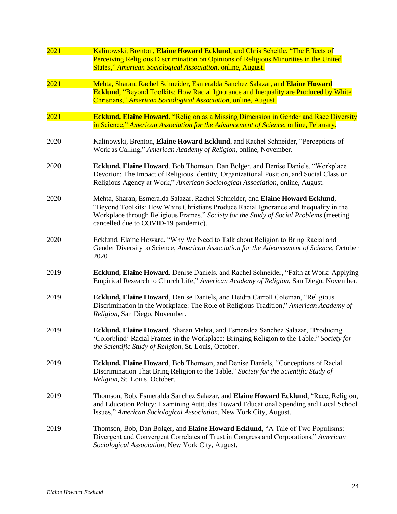| 2021 | Kalinowski, Brenton, Elaine Howard Ecklund, and Chris Scheitle, "The Effects of<br>Perceiving Religious Discrimination on Opinions of Religious Minorities in the United<br>States," American Sociological Association, online, August.                                                                   |
|------|-----------------------------------------------------------------------------------------------------------------------------------------------------------------------------------------------------------------------------------------------------------------------------------------------------------|
| 2021 | Mehta, Sharan, Rachel Schneider, Esmeralda Sanchez Salazar, and Elaine Howard<br><b>Ecklund, "Beyond Toolkits: How Racial Ignorance and Inequality are Produced by White</b><br>Christians," American Sociological Association, online, August.                                                           |
| 2021 | <b>Ecklund, Elaine Howard, "Religion as a Missing Dimension in Gender and Race Diversity</b><br>in Science," American Association for the Advancement of Science, online, February.                                                                                                                       |
| 2020 | Kalinowski, Brenton, Elaine Howard Ecklund, and Rachel Schneider, "Perceptions of<br>Work as Calling," American Academy of Religion, online, November.                                                                                                                                                    |
| 2020 | Ecklund, Elaine Howard, Bob Thomson, Dan Bolger, and Denise Daniels, "Workplace<br>Devotion: The Impact of Religious Identity, Organizational Position, and Social Class on<br>Religious Agency at Work," American Sociological Association, online, August.                                              |
| 2020 | Mehta, Sharan, Esmeralda Salazar, Rachel Schneider, and Elaine Howard Ecklund,<br>"Beyond Toolkits: How White Christians Produce Racial Ignorance and Inequality in the<br>Workplace through Religious Frames," Society for the Study of Social Problems (meeting<br>cancelled due to COVID-19 pandemic). |
| 2020 | Ecklund, Elaine Howard, "Why We Need to Talk about Religion to Bring Racial and<br>Gender Diversity to Science, American Association for the Advancement of Science, October<br>2020                                                                                                                      |
| 2019 | Ecklund, Elaine Howard, Denise Daniels, and Rachel Schneider, "Faith at Work: Applying<br>Empirical Research to Church Life," American Academy of Religion, San Diego, November.                                                                                                                          |
| 2019 | Ecklund, Elaine Howard, Denise Daniels, and Deidra Carroll Coleman, "Religious<br>Discrimination in the Workplace: The Role of Religious Tradition," American Academy of<br>Religion, San Diego, November.                                                                                                |
| 2019 | Ecklund, Elaine Howard, Sharan Mehta, and Esmeralda Sanchez Salazar, "Producing<br>'Colorblind' Racial Frames in the Workplace: Bringing Religion to the Table," Society for<br>the Scientific Study of Religion, St. Louis, October.                                                                     |
| 2019 | Ecklund, Elaine Howard, Bob Thomson, and Denise Daniels, "Conceptions of Racial<br>Discrimination That Bring Religion to the Table," Society for the Scientific Study of<br>Religion, St. Louis, October.                                                                                                 |
| 2019 | Thomson, Bob, Esmeralda Sanchez Salazar, and Elaine Howard Ecklund, "Race, Religion,<br>and Education Policy: Examining Attitudes Toward Educational Spending and Local School<br>Issues," American Sociological Association, New York City, August.                                                      |
| 2019 | Thomson, Bob, Dan Bolger, and Elaine Howard Ecklund, "A Tale of Two Populisms:<br>Divergent and Convergent Correlates of Trust in Congress and Corporations," American<br>Sociological Association, New York City, August.                                                                                |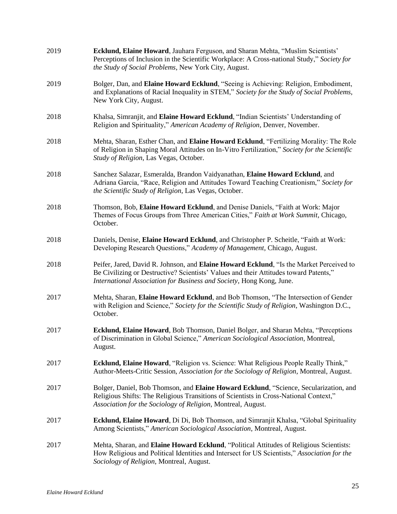| 2019 | Ecklund, Elaine Howard, Jauhara Ferguson, and Sharan Mehta, "Muslim Scientists"<br>Perceptions of Inclusion in the Scientific Workplace: A Cross-national Study," Society for<br>the Study of Social Problems, New York City, August.                    |
|------|----------------------------------------------------------------------------------------------------------------------------------------------------------------------------------------------------------------------------------------------------------|
| 2019 | Bolger, Dan, and Elaine Howard Ecklund, "Seeing is Achieving: Religion, Embodiment,<br>and Explanations of Racial Inequality in STEM," Society for the Study of Social Problems,<br>New York City, August.                                               |
| 2018 | Khalsa, Simranjit, and Elaine Howard Ecklund, "Indian Scientists' Understanding of<br>Religion and Spirituality," American Academy of Religion, Denver, November.                                                                                        |
| 2018 | Mehta, Sharan, Esther Chan, and Elaine Howard Ecklund, "Fertilizing Morality: The Role<br>of Religion in Shaping Moral Attitudes on In-Vitro Fertilization," Society for the Scientific<br>Study of Religion, Las Vegas, October.                        |
| 2018 | Sanchez Salazar, Esmeralda, Brandon Vaidyanathan, Elaine Howard Ecklund, and<br>Adriana Garcia, "Race, Religion and Attitudes Toward Teaching Creationism," Society for<br>the Scientific Study of Religion, Las Vegas, October.                         |
| 2018 | Thomson, Bob, Elaine Howard Ecklund, and Denise Daniels, "Faith at Work: Major<br>Themes of Focus Groups from Three American Cities," Faith at Work Summit, Chicago,<br>October.                                                                         |
| 2018 | Daniels, Denise, Elaine Howard Ecklund, and Christopher P. Scheitle, "Faith at Work:<br>Developing Research Questions," Academy of Management, Chicago, August.                                                                                          |
| 2018 | Peifer, Jared, David R. Johnson, and Elaine Howard Ecklund, "Is the Market Perceived to<br>Be Civilizing or Destructive? Scientists' Values and their Attitudes toward Patents,"<br>International Association for Business and Society, Hong Kong, June. |
| 2017 | Mehta, Sharan, Elaine Howard Ecklund, and Bob Thomson, "The Intersection of Gender<br>with Religion and Science," Society for the Scientific Study of Religion, Washington D.C.,<br>October.                                                             |
| 2017 | Ecklund, Elaine Howard, Bob Thomson, Daniel Bolger, and Sharan Mehta, "Perceptions<br>of Discrimination in Global Science," American Sociological Association, Montreal,<br>August.                                                                      |
| 2017 | <b>Ecklund, Elaine Howard, "Religion vs. Science: What Religious People Really Think,"</b><br>Author-Meets-Critic Session, Association for the Sociology of Religion, Montreal, August.                                                                  |
| 2017 | Bolger, Daniel, Bob Thomson, and Elaine Howard Ecklund, "Science, Secularization, and<br>Religious Shifts: The Religious Transitions of Scientists in Cross-National Context,"<br>Association for the Sociology of Religion, Montreal, August.           |
| 2017 | Ecklund, Elaine Howard, Di Di, Bob Thomson, and Simranjit Khalsa, "Global Spirituality<br>Among Scientists," American Sociological Association, Montreal, August.                                                                                        |
| 2017 | Mehta, Sharan, and Elaine Howard Ecklund, "Political Attitudes of Religious Scientists:<br>How Religious and Political Identities and Intersect for US Scientists," Association for the<br>Sociology of Religion, Montreal, August.                      |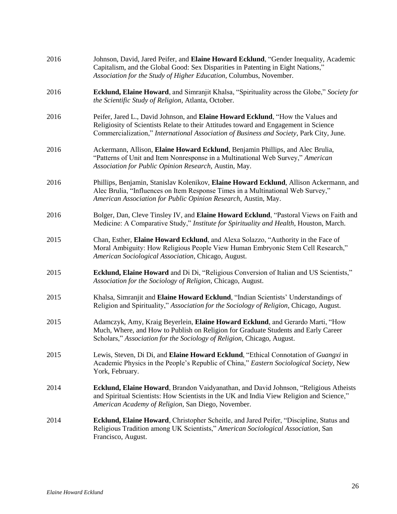| 2016 | Johnson, David, Jared Peifer, and Elaine Howard Ecklund, "Gender Inequality, Academic<br>Capitalism, and the Global Good: Sex Disparities in Patenting in Eight Nations,"<br>Association for the Study of Higher Education, Columbus, November.                    |
|------|--------------------------------------------------------------------------------------------------------------------------------------------------------------------------------------------------------------------------------------------------------------------|
| 2016 | Ecklund, Elaine Howard, and Simranjit Khalsa, "Spirituality across the Globe," Society for<br>the Scientific Study of Religion, Atlanta, October.                                                                                                                  |
| 2016 | Peifer, Jared L., David Johnson, and Elaine Howard Ecklund, "How the Values and<br>Religiosity of Scientists Relate to their Attitudes toward and Engagement in Science<br>Commercialization," International Association of Business and Society, Park City, June. |
| 2016 | Ackermann, Allison, Elaine Howard Ecklund, Benjamin Phillips, and Alec Brulia,<br>"Patterns of Unit and Item Nonresponse in a Multinational Web Survey," American<br>Association for Public Opinion Research, Austin, May.                                         |
| 2016 | Phillips, Benjamin, Stanislav Kolenikov, Elaine Howard Ecklund, Allison Ackermann, and<br>Alec Brulia, "Influences on Item Response Times in a Multinational Web Survey,"<br>American Association for Public Opinion Research, Austin, May.                        |
| 2016 | Bolger, Dan, Cleve Tinsley IV, and Elaine Howard Ecklund, "Pastoral Views on Faith and<br>Medicine: A Comparative Study," Institute for Spirituality and Health, Houston, March.                                                                                   |
| 2015 | Chan, Esther, Elaine Howard Ecklund, and Alexa Solazzo, "Authority in the Face of<br>Moral Ambiguity: How Religious People View Human Embryonic Stem Cell Research,"<br>American Sociological Association, Chicago, August.                                        |
| 2015 | Ecklund, Elaine Howard and Di Di, "Religious Conversion of Italian and US Scientists,"<br>Association for the Sociology of Religion, Chicago, August.                                                                                                              |
| 2015 | Khalsa, Simranjit and Elaine Howard Ecklund, "Indian Scientists' Understandings of<br>Religion and Spirituality," Association for the Sociology of Religion, Chicago, August.                                                                                      |
| 2015 | Adamczyk, Amy, Kraig Beyerlein, Elaine Howard Ecklund, and Gerardo Marti, "How<br>Much, Where, and How to Publish on Religion for Graduate Students and Early Career<br>Scholars," Association for the Sociology of Religion, Chicago, August.                     |
| 2015 | Lewis, Steven, Di Di, and Elaine Howard Ecklund, "Ethical Connotation of Guangxi in<br>Academic Physics in the People's Republic of China," Eastern Sociological Society, New<br>York, February.                                                                   |
| 2014 | Ecklund, Elaine Howard, Brandon Vaidyanathan, and David Johnson, "Religious Atheists<br>and Spiritual Scientists: How Scientists in the UK and India View Religion and Science,"<br>American Academy of Religion, San Diego, November.                             |
| 2014 | Ecklund, Elaine Howard, Christopher Scheitle, and Jared Peifer, "Discipline, Status and<br>Religious Tradition among UK Scientists," American Sociological Association, San<br>Francisco, August.                                                                  |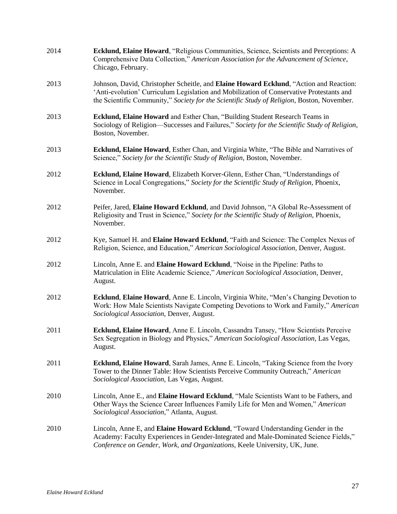| 2014 | Ecklund, Elaine Howard, "Religious Communities, Science, Scientists and Perceptions: A<br>Comprehensive Data Collection," American Association for the Advancement of Science,<br>Chicago, February.                                                                             |
|------|----------------------------------------------------------------------------------------------------------------------------------------------------------------------------------------------------------------------------------------------------------------------------------|
| 2013 | Johnson, David, Christopher Scheitle, and Elaine Howard Ecklund, "Action and Reaction:<br>'Anti-evolution' Curriculum Legislation and Mobilization of Conservative Protestants and<br>the Scientific Community," Society for the Scientific Study of Religion, Boston, November. |
| 2013 | Ecklund, Elaine Howard and Esther Chan, "Building Student Research Teams in<br>Sociology of Religion—Successes and Failures," Society for the Scientific Study of Religion,<br>Boston, November.                                                                                 |
| 2013 | Ecklund, Elaine Howard, Esther Chan, and Virginia White, "The Bible and Narratives of<br>Science," Society for the Scientific Study of Religion, Boston, November.                                                                                                               |
| 2012 | Ecklund, Elaine Howard, Elizabeth Korver-Glenn, Esther Chan, "Understandings of<br>Science in Local Congregations," Society for the Scientific Study of Religion, Phoenix,<br>November.                                                                                          |
| 2012 | Peifer, Jared, Elaine Howard Ecklund, and David Johnson, "A Global Re-Assessment of<br>Religiosity and Trust in Science," Society for the Scientific Study of Religion, Phoenix,<br>November.                                                                                    |
| 2012 | Kye, Samuel H. and Elaine Howard Ecklund, "Faith and Science: The Complex Nexus of<br>Religion, Science, and Education," American Sociological Association, Denver, August.                                                                                                      |
| 2012 | Lincoln, Anne E. and Elaine Howard Ecklund, "Noise in the Pipeline: Paths to<br>Matriculation in Elite Academic Science," American Sociological Association, Denver,<br>August.                                                                                                  |
| 2012 | Ecklund, Elaine Howard, Anne E. Lincoln, Virginia White, "Men's Changing Devotion to<br>Work: How Male Scientists Navigate Competing Devotions to Work and Family," American<br>Sociological Association, Denver, August.                                                        |
| 2011 | Ecklund, Elaine Howard, Anne E. Lincoln, Cassandra Tansey, "How Scientists Perceive<br>Sex Segregation in Biology and Physics," American Sociological Association, Las Vegas,<br>August.                                                                                         |
| 2011 | <b>Ecklund, Elaine Howard</b> , Sarah James, Anne E. Lincoln, "Taking Science from the Ivory<br>Tower to the Dinner Table: How Scientists Perceive Community Outreach," American<br>Sociological Association, Las Vegas, August.                                                 |
| 2010 | Lincoln, Anne E., and <b>Elaine Howard Ecklund</b> , "Male Scientists Want to be Fathers, and<br>Other Ways the Science Career Influences Family Life for Men and Women," American<br>Sociological Association," Atlanta, August.                                                |
| 2010 | Lincoln, Anne E, and <b>Elaine Howard Ecklund</b> , "Toward Understanding Gender in the<br>Academy: Faculty Experiences in Gender-Integrated and Male-Dominated Science Fields,"<br>Conference on Gender, Work, and Organizations, Keele University, UK, June.                   |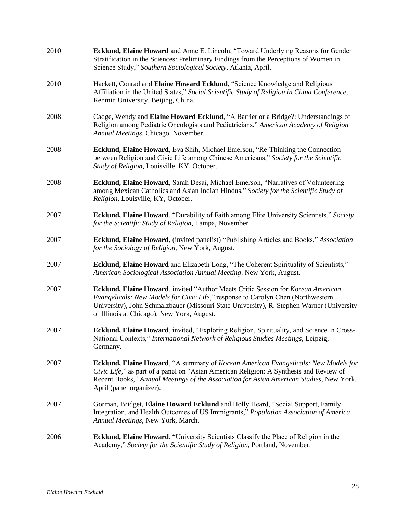| 2010 | Ecklund, Elaine Howard and Anne E. Lincoln, "Toward Underlying Reasons for Gender<br>Stratification in the Sciences: Preliminary Findings from the Perceptions of Women in<br>Science Study," Southern Sociological Society, Atlanta, April.                                                                    |
|------|-----------------------------------------------------------------------------------------------------------------------------------------------------------------------------------------------------------------------------------------------------------------------------------------------------------------|
| 2010 | Hackett, Conrad and Elaine Howard Ecklund, "Science Knowledge and Religious<br>Affiliation in the United States," Social Scientific Study of Religion in China Conference,<br>Renmin University, Beijing, China.                                                                                                |
| 2008 | Cadge, Wendy and Elaine Howard Ecklund, "A Barrier or a Bridge?: Understandings of<br>Religion among Pediatric Oncologists and Pediatricians," American Academy of Religion<br>Annual Meetings, Chicago, November.                                                                                              |
| 2008 | <b>Ecklund, Elaine Howard</b> , Eva Shih, Michael Emerson, "Re-Thinking the Connection<br>between Religion and Civic Life among Chinese Americans," Society for the Scientific<br>Study of Religion, Louisville, KY, October.                                                                                   |
| 2008 | Ecklund, Elaine Howard, Sarah Desai, Michael Emerson, "Narratives of Volunteering<br>among Mexican Catholics and Asian Indian Hindus," Society for the Scientific Study of<br>Religion, Louisville, KY, October.                                                                                                |
| 2007 | <b>Ecklund, Elaine Howard, "Durability of Faith among Elite University Scientists," Society</b><br>for the Scientific Study of Religion, Tampa, November.                                                                                                                                                       |
| 2007 | Ecklund, Elaine Howard, (invited panelist) "Publishing Articles and Books," Association<br>for the Sociology of Religion, New York, August.                                                                                                                                                                     |
| 2007 | Ecklund, Elaine Howard and Elizabeth Long, "The Coherent Spirituality of Scientists,"<br>American Sociological Association Annual Meeting, New York, August.                                                                                                                                                    |
| 2007 | Ecklund, Elaine Howard, invited "Author Meets Critic Session for Korean American<br>Evangelicals: New Models for Civic Life," response to Carolyn Chen (Northwestern<br>University), John Schmalzbauer (Missouri State University), R. Stephen Warner (University<br>of Illinois at Chicago), New York, August. |
| 2007 | Ecklund, Elaine Howard, invited, "Exploring Religion, Spirituality, and Science in Cross-<br>National Contexts," International Network of Religious Studies Meetings, Leipzig,<br>Germany.                                                                                                                      |
| 2007 | <b>Ecklund, Elaine Howard, "A summary of Korean American Evangelicals: New Models for</b><br>Civic Life," as part of a panel on "Asian American Religion: A Synthesis and Review of<br>Recent Books," Annual Meetings of the Association for Asian American Studies, New York,<br>April (panel organizer).      |
| 2007 | Gorman, Bridget, Elaine Howard Ecklund and Holly Heard, "Social Support, Family<br>Integration, and Health Outcomes of US Immigrants," Population Association of America<br>Annual Meetings, New York, March.                                                                                                   |
| 2006 | Ecklund, Elaine Howard, "University Scientists Classify the Place of Religion in the<br>Academy," Society for the Scientific Study of Religion, Portland, November.                                                                                                                                             |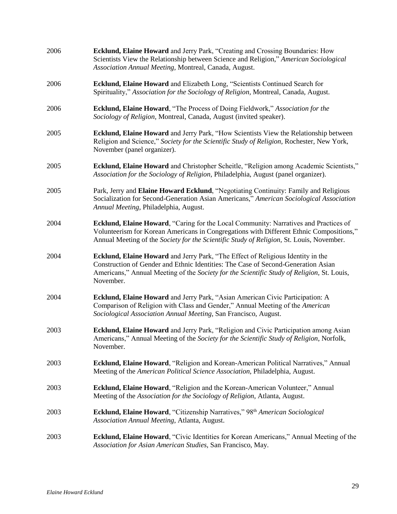| 2006 | <b>Ecklund, Elaine Howard</b> and Jerry Park, "Creating and Crossing Boundaries: How<br>Scientists View the Relationship between Science and Religion," American Sociological<br>Association Annual Meeting, Montreal, Canada, August.                                          |
|------|---------------------------------------------------------------------------------------------------------------------------------------------------------------------------------------------------------------------------------------------------------------------------------|
| 2006 | Ecklund, Elaine Howard and Elizabeth Long, "Scientists Continued Search for<br>Spirituality," Association for the Sociology of Religion, Montreal, Canada, August.                                                                                                              |
| 2006 | Ecklund, Elaine Howard, "The Process of Doing Fieldwork," Association for the<br>Sociology of Religion, Montreal, Canada, August (invited speaker).                                                                                                                             |
| 2005 | Ecklund, Elaine Howard and Jerry Park, "How Scientists View the Relationship between<br>Religion and Science," Society for the Scientific Study of Religion, Rochester, New York,<br>November (panel organizer).                                                                |
| 2005 | Ecklund, Elaine Howard and Christopher Scheitle, "Religion among Academic Scientists,"<br>Association for the Sociology of Religion, Philadelphia, August (panel organizer).                                                                                                    |
| 2005 | Park, Jerry and Elaine Howard Ecklund, "Negotiating Continuity: Family and Religious<br>Socialization for Second-Generation Asian Americans," American Sociological Association<br>Annual Meeting, Philadelphia, August.                                                        |
| 2004 | Ecklund, Elaine Howard, "Caring for the Local Community: Narratives and Practices of<br>Volunteerism for Korean Americans in Congregations with Different Ethnic Compositions,"<br>Annual Meeting of the Society for the Scientific Study of Religion, St. Louis, November.     |
| 2004 | Ecklund, Elaine Howard and Jerry Park, "The Effect of Religious Identity in the<br>Construction of Gender and Ethnic Identities: The Case of Second-Generation Asian<br>Americans," Annual Meeting of the Society for the Scientific Study of Religion, St. Louis,<br>November. |
| 2004 | Ecklund, Elaine Howard and Jerry Park, "Asian American Civic Participation: A<br>Comparison of Religion with Class and Gender," Annual Meeting of the American<br>Sociological Association Annual Meeting, San Francisco, August.                                               |
| 2003 | Ecklund, Elaine Howard and Jerry Park, "Religion and Civic Participation among Asian<br>Americans," Annual Meeting of the Society for the Scientific Study of Religion, Norfolk,<br>November.                                                                                   |
| 2003 | Ecklund, Elaine Howard, "Religion and Korean-American Political Narratives," Annual<br>Meeting of the American Political Science Association, Philadelphia, August.                                                                                                             |
| 2003 | Ecklund, Elaine Howard, "Religion and the Korean-American Volunteer," Annual<br>Meeting of the Association for the Sociology of Religion, Atlanta, August.                                                                                                                      |
| 2003 | Ecklund, Elaine Howard, "Citizenship Narratives," 98th American Sociological<br>Association Annual Meeting, Atlanta, August.                                                                                                                                                    |
| 2003 | <b>Ecklund, Elaine Howard</b> , "Civic Identities for Korean Americans," Annual Meeting of the<br>Association for Asian American Studies, San Francisco, May.                                                                                                                   |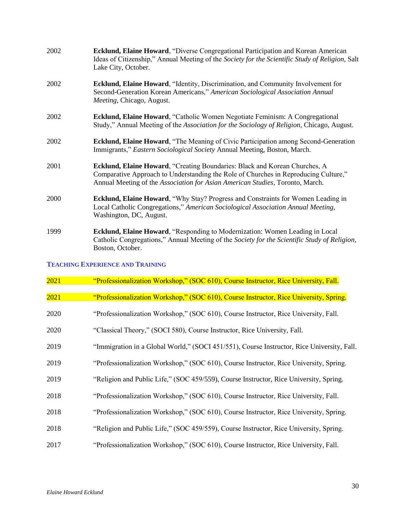| 2002 | Ecklund, Elaine Howard, "Diverse Congregational Participation and Korean American<br>Ideas of Citizenship," Annual Meeting of the Society for the Scientific Study of Religion, Salt<br>Lake City, October.                                        |
|------|----------------------------------------------------------------------------------------------------------------------------------------------------------------------------------------------------------------------------------------------------|
| 2002 | <b>Ecklund, Elaine Howard, "Identity, Discrimination, and Community Involvement for</b><br>Second-Generation Korean Americans," American Sociological Association Annual<br>Meeting, Chicago, August.                                              |
| 2002 | <b>Ecklund, Elaine Howard, "Catholic Women Negotiate Feminism: A Congregational</b><br>Study," Annual Meeting of the Association for the Sociology of Religion, Chicago, August.                                                                   |
| 2002 | Ecklund, Elaine Howard, "The Meaning of Civic Participation among Second-Generation<br>Immigrants," Eastern Sociological Society Annual Meeting, Boston, March.                                                                                    |
| 2001 | Ecklund, Elaine Howard, "Creating Boundaries: Black and Korean Churches, A<br>Comparative Approach to Understanding the Role of Churches in Reproducing Culture,"<br>Annual Meeting of the Association for Asian American Studies, Toronto, March. |
| 2000 | Ecklund, Elaine Howard, "Why Stay? Progress and Constraints for Women Leading in<br>Local Catholic Congregations," American Sociological Association Annual Meeting,<br>Washington, DC, August.                                                    |
| 1999 | Ecklund, Elaine Howard, "Responding to Modernization: Women Leading in Local<br>Catholic Congregations," Annual Meeting of the Society for the Scientific Study of Religion,<br>Boston, October.                                                   |

## **TEACHING EXPERIENCE AND TRAINING**

| 2021 | "Professionalization Workshop," (SOC 610), Course Instructor, Rice University, Fall.       |
|------|--------------------------------------------------------------------------------------------|
| 2021 | "Professionalization Workshop," (SOC 610), Course Instructor, Rice University, Spring.     |
| 2020 | "Professionalization Workshop," (SOC 610), Course Instructor, Rice University, Fall.       |
| 2020 | "Classical Theory," (SOCI 580), Course Instructor, Rice University, Fall.                  |
| 2019 | "Immigration in a Global World," (SOCI 451/551), Course Instructor, Rice University, Fall. |
| 2019 | "Professionalization Workshop," (SOC 610), Course Instructor, Rice University, Spring.     |
| 2019 | "Religion and Public Life," (SOC 459/559), Course Instructor, Rice University, Spring.     |
| 2018 | "Professionalization Workshop," (SOC 610), Course Instructor, Rice University, Fall.       |
| 2018 | "Professionalization Workshop," (SOC 610), Course Instructor, Rice University, Spring.     |
| 2018 | "Religion and Public Life," (SOC 459/559), Course Instructor, Rice University, Spring.     |
| 2017 | "Professionalization Workshop," (SOC 610), Course Instructor, Rice University, Fall.       |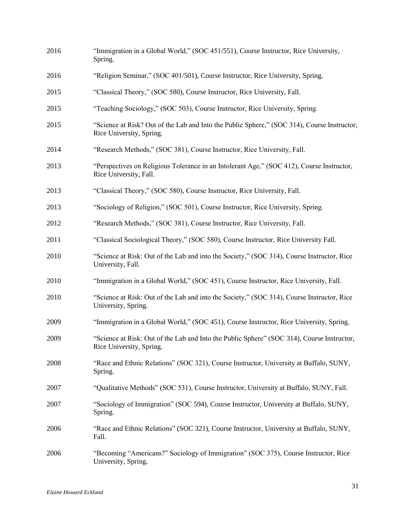| 2016 | "Immigration in a Global World," (SOC 451/551), Course Instructor, Rice University,<br>Spring.                          |
|------|-------------------------------------------------------------------------------------------------------------------------|
| 2016 | "Religion Seminar," (SOC 401/501), Course Instructor, Rice University, Spring.                                          |
| 2015 | "Classical Theory," (SOC 580), Course Instructor, Rice University, Fall.                                                |
| 2015 | "Teaching Sociology," (SOC 503), Course Instructor, Rice University, Spring.                                            |
| 2015 | "Science at Risk? Out of the Lab and Into the Public Sphere," (SOC 314), Course Instructor,<br>Rice University, Spring. |
| 2014 | "Research Methods," (SOC 381), Course Instructor, Rice University, Fall.                                                |
| 2013 | "Perspectives on Religious Tolerance in an Intolerant Age," (SOC 412), Course Instructor,<br>Rice University, Fall.     |
| 2013 | "Classical Theory," (SOC 580), Course Instructor, Rice University, Fall.                                                |
| 2013 | "Sociology of Religion," (SOC 501), Course Instructor, Rice University, Spring.                                         |
| 2012 | "Research Methods," (SOC 381), Course Instructor, Rice University, Fall.                                                |
| 2011 | "Classical Sociological Theory," (SOC 580), Course Instructor, Rice University Fall.                                    |
| 2010 | "Science at Risk: Out of the Lab and into the Society," (SOC 314), Course Instructor, Rice<br>University, Fall.         |
| 2010 | "Immigration in a Global World," (SOC 451), Course Instructor, Rice University, Fall.                                   |
| 2010 | "Science at Risk: Out of the Lab and into the Society," (SOC 314), Course Instructor, Rice<br>University, Spring.       |
| 2009 | "Immigration in a Global World," (SOC 451), Course Instructor, Rice University, Spring.                                 |
| 2009 | "Science at Risk: Out of the Lab and Into the Public Sphere" (SOC 314), Course Instructor,<br>Rice University, Spring.  |
| 2008 | "Race and Ethnic Relations" (SOC 321), Course Instructor, University at Buffalo, SUNY,<br>Spring.                       |
| 2007 | "Qualitative Methods" (SOC 531), Course Instructor, University at Buffalo, SUNY, Fall.                                  |
| 2007 | "Sociology of Immigration" (SOC 594), Course Instructor, University at Buffalo, SUNY,<br>Spring.                        |
| 2006 | "Race and Ethnic Relations" (SOC 321), Course Instructor, University at Buffalo, SUNY,<br>Fall.                         |
| 2006 | "Becoming "Americans?" Sociology of Immigration" (SOC 375), Course Instructor, Rice<br>University, Spring.              |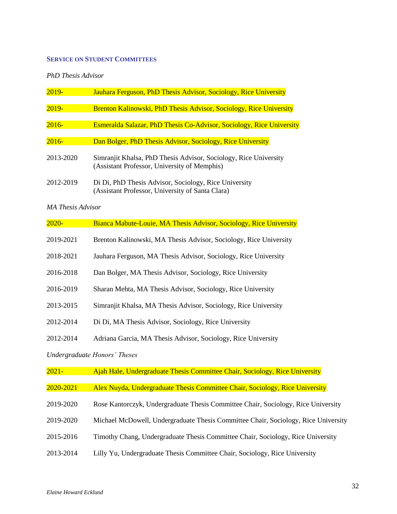#### **SERVICE ON STUDENT COMMITTEES**

## *PhD Thesis Advisor*

| $2019-$   | <b>Jauhara Ferguson, PhD Thesis Advisor, Sociology, Rice University</b>                                          |
|-----------|------------------------------------------------------------------------------------------------------------------|
| $2019-$   | <b>Brenton Kalinowski, PhD Thesis Advisor, Sociology, Rice University</b>                                        |
| $2016 -$  | <b>Esmeralda Salazar, PhD Thesis Co-Advisor, Sociology, Rice University</b>                                      |
| $2016-$   | Dan Bolger, PhD Thesis Advisor, Sociology, Rice University                                                       |
| 2013-2020 | Simranjit Khalsa, PhD Thesis Advisor, Sociology, Rice University<br>(Assistant Professor, University of Memphis) |
| 2012-2019 | Di Di, PhD Thesis Advisor, Sociology, Rice University<br>(Assistant Professor, University of Santa Clara)        |

### *MA Thesis Advisor*

| $2020 -$  | Bianca Mabute-Louie, MA Thesis Advisor, Sociology, Rice University                |
|-----------|-----------------------------------------------------------------------------------|
| 2019-2021 | Brenton Kalinowski, MA Thesis Advisor, Sociology, Rice University                 |
| 2018-2021 | Jauhara Ferguson, MA Thesis Advisor, Sociology, Rice University                   |
| 2016-2018 | Dan Bolger, MA Thesis Advisor, Sociology, Rice University                         |
| 2016-2019 | Sharan Mehta, MA Thesis Advisor, Sociology, Rice University                       |
| 2013-2015 | Simranjit Khalsa, MA Thesis Advisor, Sociology, Rice University                   |
| 2012-2014 | Di Di, MA Thesis Advisor, Sociology, Rice University                              |
| 2012-2014 | Adriana Garcia, MA Thesis Advisor, Sociology, Rice University                     |
|           | <b>Undergraduate Honors' Theses</b>                                               |
| $2021 -$  | Ajah Hale, Undergraduate Thesis Committee Chair, Sociology, Rice University       |
| 2020-2021 | Alex Nuyda, Undergraduate Thesis Committee Chair, Sociology, Rice University      |
| 2019-2020 | Rose Kantorczyk, Undergraduate Thesis Committee Chair, Sociology, Rice University |

- 2019-2020 Michael McDowell, Undergraduate Thesis Committee Chair, Sociology, Rice University
- 2015-2016 Timothy Chang, Undergraduate Thesis Committee Chair, Sociology, Rice University
- 2013-2014 Lilly Yu, Undergraduate Thesis Committee Chair, Sociology, Rice University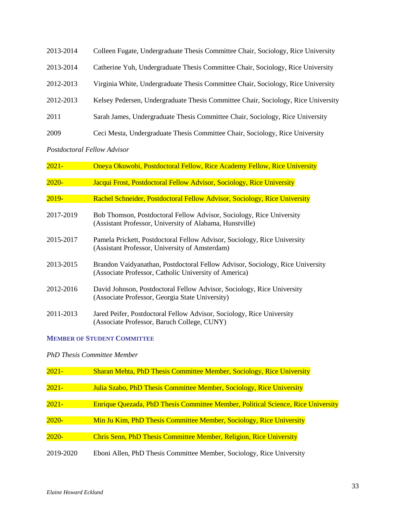| 2013-2014 | Colleen Fugate, Undergraduate Thesis Committee Chair, Sociology, Rice University  |
|-----------|-----------------------------------------------------------------------------------|
| 2013-2014 | Catherine Yuh, Undergraduate Thesis Committee Chair, Sociology, Rice University   |
| 2012-2013 | Virginia White, Undergraduate Thesis Committee Chair, Sociology, Rice University  |
| 2012-2013 | Kelsey Pedersen, Undergraduate Thesis Committee Chair, Sociology, Rice University |
| 2011      | Sarah James, Undergraduate Thesis Committee Chair, Sociology, Rice University     |
| 2009      | Ceci Mesta, Undergraduate Thesis Committee Chair, Sociology, Rice University      |

*Postdoctoral Fellow Advisor*

| $2021 -$  | Oneya Okuwobi, Postdoctoral Fellow, Rice Academy Fellow, Rice University                                                               |
|-----------|----------------------------------------------------------------------------------------------------------------------------------------|
| $2020 -$  | Jacqui Frost, Postdoctoral Fellow Advisor, Sociology, Rice University                                                                  |
| $2019-$   | Rachel Schneider, Postdoctoral Fellow Advisor, Sociology, Rice University                                                              |
| 2017-2019 | Bob Thomson, Postdoctoral Fellow Advisor, Sociology, Rice University<br>(Assistant Professor, University of Alabama, Hunstville)       |
| 2015-2017 | Pamela Prickett, Postdoctoral Fellow Advisor, Sociology, Rice University<br>(Assistant Professor, University of Amsterdam)             |
| 2013-2015 | Brandon Vaidyanathan, Postdoctoral Fellow Advisor, Sociology, Rice University<br>(Associate Professor, Catholic University of America) |
| 2012-2016 | David Johnson, Postdoctoral Fellow Advisor, Sociology, Rice University<br>(Associate Professor, Georgia State University)              |
| 2011-2013 | Jared Peifer, Postdoctoral Fellow Advisor, Sociology, Rice University<br>(Associate Professor, Baruch College, CUNY)                   |

# **MEMBER OF STUDENT COMMITTEE**

*PhD Thesis Committee Member*

| $2021 -$  | <b>Sharan Mehta, PhD Thesis Committee Member, Sociology, Rice University</b>     |
|-----------|----------------------------------------------------------------------------------|
|           |                                                                                  |
| $2021 -$  | Julia Szabo, PhD Thesis Committee Member, Sociology, Rice University             |
|           |                                                                                  |
| $2021 -$  | Enrique Quezada, PhD Thesis Committee Member, Political Science, Rice University |
|           |                                                                                  |
| $2020 -$  | Min Ju Kim, PhD Thesis Committee Member, Sociology, Rice University              |
|           |                                                                                  |
| $2020 -$  | <b>Chris Senn, PhD Thesis Committee Member, Religion, Rice University</b>        |
|           |                                                                                  |
| 2019-2020 | Eboni Allen, PhD Thesis Committee Member, Sociology, Rice University             |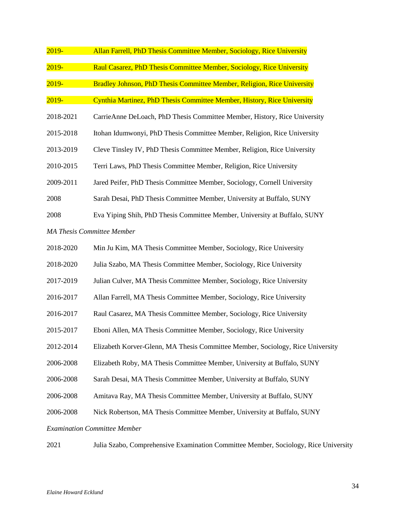| $2019 -$  | Allan Farrell, PhD Thesis Committee Member, Sociology, Rice University         |
|-----------|--------------------------------------------------------------------------------|
| $2019 -$  | Raul Casarez, PhD Thesis Committee Member, Sociology, Rice University          |
| $2019 -$  | Bradley Johnson, PhD Thesis Committee Member, Religion, Rice University        |
| $2019 -$  | Cynthia Martinez, PhD Thesis Committee Member, History, Rice University        |
| 2018-2021 | CarrieAnne DeLoach, PhD Thesis Committee Member, History, Rice University      |
| 2015-2018 | Itohan Idumwonyi, PhD Thesis Committee Member, Religion, Rice University       |
| 2013-2019 | Cleve Tinsley IV, PhD Thesis Committee Member, Religion, Rice University       |
| 2010-2015 | Terri Laws, PhD Thesis Committee Member, Religion, Rice University             |
| 2009-2011 | Jared Peifer, PhD Thesis Committee Member, Sociology, Cornell University       |
| 2008      | Sarah Desai, PhD Thesis Committee Member, University at Buffalo, SUNY          |
| 2008      | Eva Yiping Shih, PhD Thesis Committee Member, University at Buffalo, SUNY      |
|           | <b>MA Thesis Committee Member</b>                                              |
| 2018-2020 | Min Ju Kim, MA Thesis Committee Member, Sociology, Rice University             |
| 2018-2020 | Julia Szabo, MA Thesis Committee Member, Sociology, Rice University            |
| 2017-2019 | Julian Culver, MA Thesis Committee Member, Sociology, Rice University          |
| 2016-2017 | Allan Farrell, MA Thesis Committee Member, Sociology, Rice University          |
| 2016-2017 | Raul Casarez, MA Thesis Committee Member, Sociology, Rice University           |
| 2015-2017 | Eboni Allen, MA Thesis Committee Member, Sociology, Rice University            |
| 2012-2014 | Elizabeth Korver-Glenn, MA Thesis Committee Member, Sociology, Rice University |
| 2006-2008 | Elizabeth Roby, MA Thesis Committee Member, University at Buffalo, SUNY        |
| 2006-2008 | Sarah Desai, MA Thesis Committee Member, University at Buffalo, SUNY           |
| 2006-2008 | Amitava Ray, MA Thesis Committee Member, University at Buffalo, SUNY           |
| 2006-2008 | Nick Robertson, MA Thesis Committee Member, University at Buffalo, SUNY        |

### *Examination Committee Member*

| 2021 | Julia Szabo, Comprehensive Examination Committee Member, Sociology, Rice University |  |  |  |
|------|-------------------------------------------------------------------------------------|--|--|--|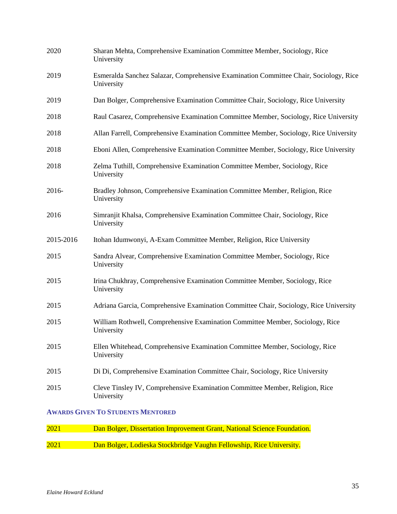| 2021      | Dan Bolger, Dissertation Improvement Grant, National Science Foundation.                            |
|-----------|-----------------------------------------------------------------------------------------------------|
|           | <b>AWARDS GIVEN TO STUDENTS MENTORED</b>                                                            |
| 2015      | Cleve Tinsley IV, Comprehensive Examination Committee Member, Religion, Rice<br>University          |
| 2015      | Di Di, Comprehensive Examination Committee Chair, Sociology, Rice University                        |
| 2015      | Ellen Whitehead, Comprehensive Examination Committee Member, Sociology, Rice<br>University          |
| 2015      | William Rothwell, Comprehensive Examination Committee Member, Sociology, Rice<br>University         |
| 2015      | Adriana Garcia, Comprehensive Examination Committee Chair, Sociology, Rice University               |
| 2015      | Irina Chukhray, Comprehensive Examination Committee Member, Sociology, Rice<br>University           |
| 2015      | Sandra Alvear, Comprehensive Examination Committee Member, Sociology, Rice<br>University            |
| 2015-2016 | Itohan Idumwonyi, A-Exam Committee Member, Religion, Rice University                                |
| 2016      | Simranjit Khalsa, Comprehensive Examination Committee Chair, Sociology, Rice<br>University          |
| 2016-     | Bradley Johnson, Comprehensive Examination Committee Member, Religion, Rice<br>University           |
| 2018      | Zelma Tuthill, Comprehensive Examination Committee Member, Sociology, Rice<br>University            |
| 2018      | Eboni Allen, Comprehensive Examination Committee Member, Sociology, Rice University                 |
| 2018      | Allan Farrell, Comprehensive Examination Committee Member, Sociology, Rice University               |
| 2018      | Raul Casarez, Comprehensive Examination Committee Member, Sociology, Rice University                |
| 2019      | Dan Bolger, Comprehensive Examination Committee Chair, Sociology, Rice University                   |
| 2019      | Esmeralda Sanchez Salazar, Comprehensive Examination Committee Chair, Sociology, Rice<br>University |
| 2020      | Sharan Mehta, Comprehensive Examination Committee Member, Sociology, Rice<br>University             |

| 2021 | Dan Bolger, Lodieska Stockbridge Vaughn Fellowship, Rice University. |  |
|------|----------------------------------------------------------------------|--|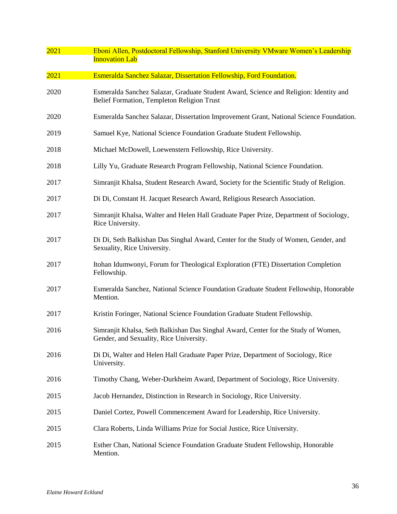| 2021 | Eboni Allen, Postdoctoral Fellowship, Stanford University VMware Women's Leadership<br><b>Innovation Lab</b>                        |
|------|-------------------------------------------------------------------------------------------------------------------------------------|
| 2021 | Esmeralda Sanchez Salazar, Dissertation Fellowship, Ford Foundation.                                                                |
| 2020 | Esmeralda Sanchez Salazar, Graduate Student Award, Science and Religion: Identity and<br>Belief Formation, Templeton Religion Trust |
| 2020 | Esmeralda Sanchez Salazar, Dissertation Improvement Grant, National Science Foundation.                                             |
| 2019 | Samuel Kye, National Science Foundation Graduate Student Fellowship.                                                                |
| 2018 | Michael McDowell, Loewenstern Fellowship, Rice University.                                                                          |
| 2018 | Lilly Yu, Graduate Research Program Fellowship, National Science Foundation.                                                        |
| 2017 | Simranjit Khalsa, Student Research Award, Society for the Scientific Study of Religion.                                             |
| 2017 | Di Di, Constant H. Jacquet Research Award, Religious Research Association.                                                          |
| 2017 | Simranjit Khalsa, Walter and Helen Hall Graduate Paper Prize, Department of Sociology,<br>Rice University.                          |
| 2017 | Di Di, Seth Balkishan Das Singhal Award, Center for the Study of Women, Gender, and<br>Sexuality, Rice University.                  |
| 2017 | Itohan Idumwonyi, Forum for Theological Exploration (FTE) Dissertation Completion<br>Fellowship.                                    |
| 2017 | Esmeralda Sanchez, National Science Foundation Graduate Student Fellowship, Honorable<br>Mention.                                   |
| 2017 | Kristin Foringer, National Science Foundation Graduate Student Fellowship.                                                          |
| 2016 | Simranjit Khalsa, Seth Balkishan Das Singhal Award, Center for the Study of Women,<br>Gender, and Sexuality, Rice University.       |
| 2016 | Di Di, Walter and Helen Hall Graduate Paper Prize, Department of Sociology, Rice<br>University.                                     |
| 2016 | Timothy Chang, Weber-Durkheim Award, Department of Sociology, Rice University.                                                      |
| 2015 | Jacob Hernandez, Distinction in Research in Sociology, Rice University.                                                             |
| 2015 | Daniel Cortez, Powell Commencement Award for Leadership, Rice University.                                                           |
| 2015 | Clara Roberts, Linda Williams Prize for Social Justice, Rice University.                                                            |
| 2015 | Esther Chan, National Science Foundation Graduate Student Fellowship, Honorable<br>Mention.                                         |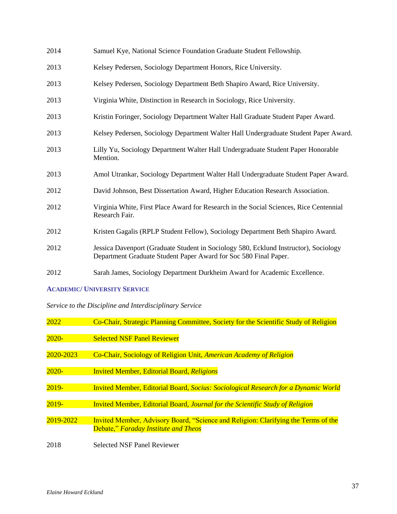| 2014 | Samuel Kye, National Science Foundation Graduate Student Fellowship.                                                                                     |
|------|----------------------------------------------------------------------------------------------------------------------------------------------------------|
| 2013 | Kelsey Pedersen, Sociology Department Honors, Rice University.                                                                                           |
| 2013 | Kelsey Pedersen, Sociology Department Beth Shapiro Award, Rice University.                                                                               |
| 2013 | Virginia White, Distinction in Research in Sociology, Rice University.                                                                                   |
| 2013 | Kristin Foringer, Sociology Department Walter Hall Graduate Student Paper Award.                                                                         |
| 2013 | Kelsey Pedersen, Sociology Department Walter Hall Undergraduate Student Paper Award.                                                                     |
| 2013 | Lilly Yu, Sociology Department Walter Hall Undergraduate Student Paper Honorable<br>Mention.                                                             |
| 2013 | Amol Utrankar, Sociology Department Walter Hall Undergraduate Student Paper Award.                                                                       |
| 2012 | David Johnson, Best Dissertation Award, Higher Education Research Association.                                                                           |
| 2012 | Virginia White, First Place Award for Research in the Social Sciences, Rice Centennial<br>Research Fair.                                                 |
| 2012 | Kristen Gagalis (RPLP Student Fellow), Sociology Department Beth Shapiro Award.                                                                          |
| 2012 | Jessica Davenport (Graduate Student in Sociology 580, Ecklund Instructor), Sociology<br>Department Graduate Student Paper Award for Soc 580 Final Paper. |
| 2012 | Sarah James, Sociology Department Durkheim Award for Academic Excellence.                                                                                |

## **ACADEMIC/ UNIVERSITY SERVICE**

*Service to the Discipline and Interdisciplinary Service*

| 2022      | Co-Chair, Strategic Planning Committee, Society for the Scientific Study of Religion                                       |
|-----------|----------------------------------------------------------------------------------------------------------------------------|
| $2020 -$  | <b>Selected NSF Panel Reviewer</b>                                                                                         |
| 2020-2023 | Co-Chair, Sociology of Religion Unit, American Academy of Religion                                                         |
| $2020 -$  | <b>Invited Member, Editorial Board, Religions</b>                                                                          |
| $2019 -$  | <b>Invited Member, Editorial Board, Socius: Sociological Research for a Dynamic World</b>                                  |
| $2019 -$  | <b>Invited Member, Editorial Board, Journal for the Scientific Study of Religion</b>                                       |
| 2019-2022 | Invited Member, Advisory Board, "Science and Religion: Clarifying the Terms of the<br>Debate," Faraday Institute and Theos |
| 2018      | <b>Selected NSF Panel Reviewer</b>                                                                                         |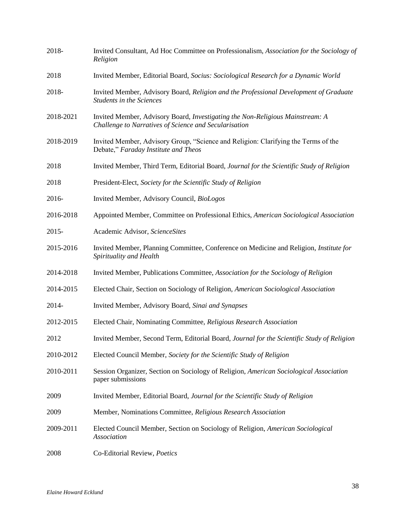| 2018-     | Invited Consultant, Ad Hoc Committee on Professionalism, Association for the Sociology of<br>Religion                                  |
|-----------|----------------------------------------------------------------------------------------------------------------------------------------|
| 2018      | Invited Member, Editorial Board, Socius: Sociological Research for a Dynamic World                                                     |
| 2018-     | Invited Member, Advisory Board, Religion and the Professional Development of Graduate<br><b>Students in the Sciences</b>               |
| 2018-2021 | Invited Member, Advisory Board, Investigating the Non-Religious Mainstream: A<br>Challenge to Narratives of Science and Secularisation |
| 2018-2019 | Invited Member, Advisory Group, "Science and Religion: Clarifying the Terms of the<br>Debate," Faraday Institute and Theos             |
| 2018      | Invited Member, Third Term, Editorial Board, Journal for the Scientific Study of Religion                                              |
| 2018      | President-Elect, Society for the Scientific Study of Religion                                                                          |
| 2016-     | Invited Member, Advisory Council, BioLogos                                                                                             |
| 2016-2018 | Appointed Member, Committee on Professional Ethics, American Sociological Association                                                  |
| $2015 -$  | Academic Advisor, ScienceSites                                                                                                         |
| 2015-2016 | Invited Member, Planning Committee, Conference on Medicine and Religion, Institute for<br>Spirituality and Health                      |
| 2014-2018 | Invited Member, Publications Committee, Association for the Sociology of Religion                                                      |
| 2014-2015 | Elected Chair, Section on Sociology of Religion, American Sociological Association                                                     |
| 2014-     | Invited Member, Advisory Board, Sinai and Synapses                                                                                     |
| 2012-2015 | Elected Chair, Nominating Committee, Religious Research Association                                                                    |
| 2012      | Invited Member, Second Term, Editorial Board, Journal for the Scientific Study of Religion                                             |
| 2010-2012 | Elected Council Member, Society for the Scientific Study of Religion                                                                   |
| 2010-2011 | Session Organizer, Section on Sociology of Religion, American Sociological Association<br>paper submissions                            |
| 2009      | Invited Member, Editorial Board, Journal for the Scientific Study of Religion                                                          |
| 2009      | Member, Nominations Committee, Religious Research Association                                                                          |
| 2009-2011 | Elected Council Member, Section on Sociology of Religion, American Sociological<br>Association                                         |
| 2008      | Co-Editorial Review, Poetics                                                                                                           |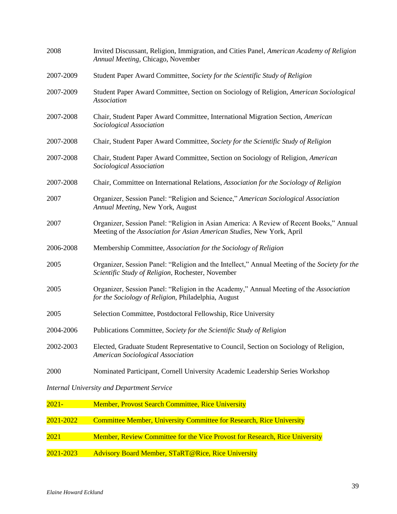| 2008      | Invited Discussant, Religion, Immigration, and Cities Panel, American Academy of Religion<br>Annual Meeting, Chicago, November                                    |
|-----------|-------------------------------------------------------------------------------------------------------------------------------------------------------------------|
| 2007-2009 | Student Paper Award Committee, Society for the Scientific Study of Religion                                                                                       |
| 2007-2009 | Student Paper Award Committee, Section on Sociology of Religion, American Sociological<br>Association                                                             |
| 2007-2008 | Chair, Student Paper Award Committee, International Migration Section, American<br>Sociological Association                                                       |
| 2007-2008 | Chair, Student Paper Award Committee, Society for the Scientific Study of Religion                                                                                |
| 2007-2008 | Chair, Student Paper Award Committee, Section on Sociology of Religion, American<br>Sociological Association                                                      |
| 2007-2008 | Chair, Committee on International Relations, Association for the Sociology of Religion                                                                            |
| 2007      | Organizer, Session Panel: "Religion and Science," American Sociological Association<br>Annual Meeting, New York, August                                           |
| 2007      | Organizer, Session Panel: "Religion in Asian America: A Review of Recent Books," Annual<br>Meeting of the Association for Asian American Studies, New York, April |
| 2006-2008 | Membership Committee, Association for the Sociology of Religion                                                                                                   |
| 2005      | Organizer, Session Panel: "Religion and the Intellect," Annual Meeting of the Society for the<br>Scientific Study of Religion, Rochester, November                |
| 2005      | Organizer, Session Panel: "Religion in the Academy," Annual Meeting of the Association<br>for the Sociology of Religion, Philadelphia, August                     |
| 2005      | Selection Committee, Postdoctoral Fellowship, Rice University                                                                                                     |
| 2004-2006 | Publications Committee, Society for the Scientific Study of Religion                                                                                              |
| 2002-2003 | Elected, Graduate Student Representative to Council, Section on Sociology of Religion,<br><b>American Sociological Association</b>                                |
| 2000      | Nominated Participant, Cornell University Academic Leadership Series Workshop                                                                                     |
|           | Internal University and Department Service                                                                                                                        |

*Internal University and Department Service*

| <u> 2021-</u> | <b>Member, Provost Search Committee, Rice University</b>                    |
|---------------|-----------------------------------------------------------------------------|
|               |                                                                             |
| 2021-2022     | <b>Committee Member, University Committee for Research, Rice University</b> |
|               |                                                                             |
| 2021          | Member, Review Committee for the Vice Provost for Research, Rice University |
|               |                                                                             |
| 2021-2023     | <b>Advisory Board Member, STaRT@Rice, Rice University</b>                   |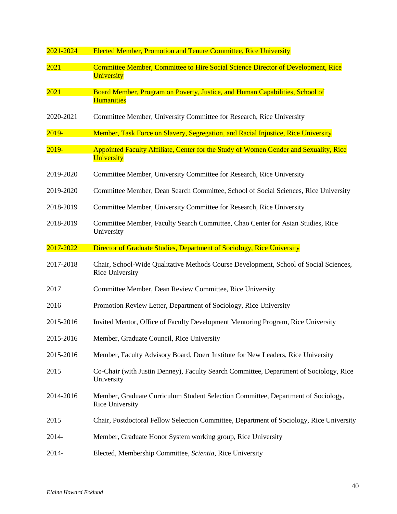| 2021-2024 | <b>Elected Member, Promotion and Tenure Committee, Rice University</b>                                          |  |  |
|-----------|-----------------------------------------------------------------------------------------------------------------|--|--|
| 2021      | Committee Member, Committee to Hire Social Science Director of Development, Rice<br>University                  |  |  |
| 2021      | Board Member, Program on Poverty, Justice, and Human Capabilities, School of<br><b>Humanities</b>               |  |  |
| 2020-2021 | Committee Member, University Committee for Research, Rice University                                            |  |  |
| $2019 -$  | Member, Task Force on Slavery, Segregation, and Racial Injustice, Rice University                               |  |  |
| $2019 -$  | Appointed Faculty Affiliate, Center for the Study of Women Gender and Sexuality, Rice<br>University             |  |  |
| 2019-2020 | Committee Member, University Committee for Research, Rice University                                            |  |  |
| 2019-2020 | Committee Member, Dean Search Committee, School of Social Sciences, Rice University                             |  |  |
| 2018-2019 | Committee Member, University Committee for Research, Rice University                                            |  |  |
| 2018-2019 | Committee Member, Faculty Search Committee, Chao Center for Asian Studies, Rice<br>University                   |  |  |
| 2017-2022 | Director of Graduate Studies, Department of Sociology, Rice University                                          |  |  |
| 2017-2018 | Chair, School-Wide Qualitative Methods Course Development, School of Social Sciences,<br><b>Rice University</b> |  |  |
| 2017      | Committee Member, Dean Review Committee, Rice University                                                        |  |  |
| 2016      | Promotion Review Letter, Department of Sociology, Rice University                                               |  |  |
| 2015-2016 | Invited Mentor, Office of Faculty Development Mentoring Program, Rice University                                |  |  |
| 2015-2016 | Member, Graduate Council, Rice University                                                                       |  |  |
| 2015-2016 | Member, Faculty Advisory Board, Doerr Institute for New Leaders, Rice University                                |  |  |
| 2015      | Co-Chair (with Justin Denney), Faculty Search Committee, Department of Sociology, Rice<br>University            |  |  |
| 2014-2016 | Member, Graduate Curriculum Student Selection Committee, Department of Sociology,<br><b>Rice University</b>     |  |  |
| 2015      | Chair, Postdoctoral Fellow Selection Committee, Department of Sociology, Rice University                        |  |  |
| 2014-     | Member, Graduate Honor System working group, Rice University                                                    |  |  |
| 2014-     | Elected, Membership Committee, Scientia, Rice University                                                        |  |  |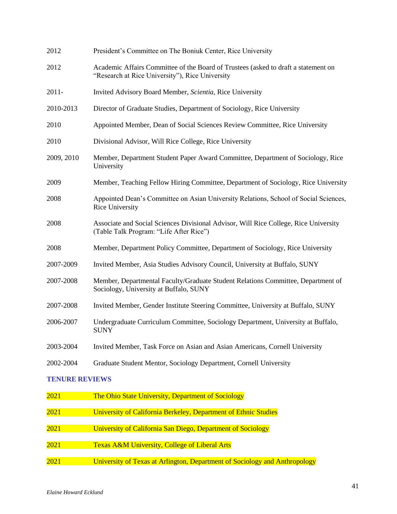| 2012                             | President's Committee on The Boniuk Center, Rice University                                                                           |
|----------------------------------|---------------------------------------------------------------------------------------------------------------------------------------|
| 2012                             | Academic Affairs Committee of the Board of Trustees (asked to draft a statement on<br>"Research at Rice University"), Rice University |
| $2011 -$                         | Invited Advisory Board Member, Scientia, Rice University                                                                              |
| 2010-2013                        | Director of Graduate Studies, Department of Sociology, Rice University                                                                |
| 2010                             | Appointed Member, Dean of Social Sciences Review Committee, Rice University                                                           |
| 2010                             | Divisional Advisor, Will Rice College, Rice University                                                                                |
| 2009, 2010                       | Member, Department Student Paper Award Committee, Department of Sociology, Rice<br>University                                         |
| 2009                             | Member, Teaching Fellow Hiring Committee, Department of Sociology, Rice University                                                    |
| 2008                             | Appointed Dean's Committee on Asian University Relations, School of Social Sciences,<br>Rice University                               |
| 2008                             | Associate and Social Sciences Divisional Advisor, Will Rice College, Rice University<br>(Table Talk Program: "Life After Rice")       |
| 2008                             | Member, Department Policy Committee, Department of Sociology, Rice University                                                         |
| 2007-2009                        | Invited Member, Asia Studies Advisory Council, University at Buffalo, SUNY                                                            |
| 2007-2008                        | Member, Departmental Faculty/Graduate Student Relations Committee, Department of<br>Sociology, University at Buffalo, SUNY            |
| 2007-2008                        | Invited Member, Gender Institute Steering Committee, University at Buffalo, SUNY                                                      |
| 2006-2007                        | Undergraduate Curriculum Committee, Sociology Department, University at Buffalo,<br><b>SUNY</b>                                       |
| 2003-2004                        | Invited Member, Task Force on Asian and Asian Americans, Cornell University                                                           |
| 2002-2004                        | Graduate Student Mentor, Sociology Department, Cornell University                                                                     |
| <b><i>INTERTED DESITEIRO</i></b> |                                                                                                                                       |

### **TENURE REVIEWS**

| 2021 | The Ohio State University, Department of Sociology                         |
|------|----------------------------------------------------------------------------|
|      |                                                                            |
| 2021 | University of California Berkeley, Department of Ethnic Studies            |
|      |                                                                            |
| 2021 | University of California San Diego, Department of Sociology                |
|      |                                                                            |
| 2021 | <b>Texas A&amp;M University, College of Liberal Arts</b>                   |
|      |                                                                            |
| 2021 | University of Texas at Arlington, Department of Sociology and Anthropology |
|      |                                                                            |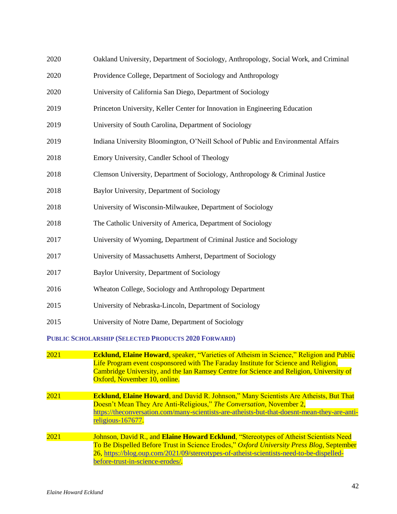| 2020        | Oakland University, Department of Sociology, Anthropology, Social Work, and Criminal                                                                                                                                                                                                                             |
|-------------|------------------------------------------------------------------------------------------------------------------------------------------------------------------------------------------------------------------------------------------------------------------------------------------------------------------|
| 2020        | Providence College, Department of Sociology and Anthropology                                                                                                                                                                                                                                                     |
| 2020        | University of California San Diego, Department of Sociology                                                                                                                                                                                                                                                      |
| 2019        | Princeton University, Keller Center for Innovation in Engineering Education                                                                                                                                                                                                                                      |
| 2019        | University of South Carolina, Department of Sociology                                                                                                                                                                                                                                                            |
| 2019        | Indiana University Bloomington, O'Neill School of Public and Environmental Affairs                                                                                                                                                                                                                               |
| 2018        | Emory University, Candler School of Theology                                                                                                                                                                                                                                                                     |
| 2018        | Clemson University, Department of Sociology, Anthropology & Criminal Justice                                                                                                                                                                                                                                     |
| 2018        | Baylor University, Department of Sociology                                                                                                                                                                                                                                                                       |
| 2018        | University of Wisconsin-Milwaukee, Department of Sociology                                                                                                                                                                                                                                                       |
| 2018        | The Catholic University of America, Department of Sociology                                                                                                                                                                                                                                                      |
| 2017        | University of Wyoming, Department of Criminal Justice and Sociology                                                                                                                                                                                                                                              |
| 2017        | University of Massachusetts Amherst, Department of Sociology                                                                                                                                                                                                                                                     |
| 2017        | Baylor University, Department of Sociology                                                                                                                                                                                                                                                                       |
| 2016        | Wheaton College, Sociology and Anthropology Department                                                                                                                                                                                                                                                           |
| 2015        | University of Nebraska-Lincoln, Department of Sociology                                                                                                                                                                                                                                                          |
| 2015        | University of Notre Dame, Department of Sociology                                                                                                                                                                                                                                                                |
|             | PUBLIC SCHOLARSHIP (SELECTED PRODUCTS 2020 FORWARD)                                                                                                                                                                                                                                                              |
| <b>2021</b> | <b>Ecklund, Elaine Howard, speaker, "Varieties of Atheism in Science," Religion and Public</b><br>Life Program event cosponsored with The Faraday Institute for Science and Religion,<br>Cambridge University, and the Ian Ramsey Centre for Science and Religion, University of<br>Oxford, November 10, online. |
| 2021        | <b>Ecklund, Elaine Howard, and David R. Johnson," Many Scientists Are Atheists, But That</b><br>Doesn't Mean They Are Anti-Religious," The Conversation, November 2,<br>https://theconversation.com/many-scientists-are-atheists-but-that-doesnt-mean-they-are-anti-<br>religious-167677.                        |
| 2021        | Johnson, David R., and Elaine Howard Ecklund, "Stereotypes of Atheist Scientists Need<br>To Be Dispelled Before Trust in Science Erodes," Oxford University Press Blog, September<br>26, https://blog.oup.com/2021/09/stereotypes-of-atheist-scientists-need-to-be-dispelled-                                    |

[before-trust-in-science-erodes/.](https://blog.oup.com/2021/09/stereotypes-of-atheist-scientists-need-to-be-dispelled-before-trust-in-science-erodes/)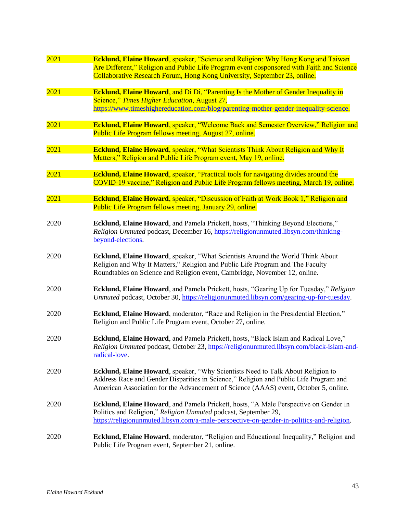| 2021 | Ecklund, Elaine Howard, speaker, "Science and Religion: Why Hong Kong and Taiwan                           |
|------|------------------------------------------------------------------------------------------------------------|
|      | Are Different," Religion and Public Life Program event cosponsored with Faith and Science                  |
|      | Collaborative Research Forum, Hong Kong University, September 23, online.                                  |
| 2021 | Ecklund, Elaine Howard, and Di Di, "Parenting Is the Mother of Gender Inequality in                        |
|      | Science," Times Higher Education, August 27,                                                               |
|      | https://www.timeshighereducation.com/blog/parenting-mother-gender-inequality-science.                      |
| 2021 | Ecklund, Elaine Howard, speaker, "Welcome Back and Semester Overview," Religion and                        |
|      | Public Life Program fellows meeting, August 27, online.                                                    |
|      |                                                                                                            |
| 2021 | <b>Ecklund, Elaine Howard</b> , speaker, "What Scientists Think About Religion and Why It                  |
|      | Matters," Religion and Public Life Program event, May 19, online.                                          |
| 2021 | <b>Ecklund, Elaine Howard</b> , speaker, "Practical tools for navigating divides around the                |
|      | COVID-19 vaccine," Religion and Public Life Program fellows meeting, March 19, online.                     |
| 2021 | <b>Ecklund, Elaine Howard</b> , speaker, "Discussion of Faith at Work Book 1," Religion and                |
|      | Public Life Program fellows meeting, January 29, online.                                                   |
|      |                                                                                                            |
| 2020 | Ecklund, Elaine Howard, and Pamela Prickett, hosts, "Thinking Beyond Elections,"                           |
|      | Religion Unmuted podcast, December 16, https://religionunmuted.libsyn.com/thinking-<br>beyond-elections.   |
|      |                                                                                                            |
| 2020 | Ecklund, Elaine Howard, speaker, "What Scientists Around the World Think About                             |
|      | Religion and Why It Matters," Religion and Public Life Program and The Faculty                             |
|      | Roundtables on Science and Religion event, Cambridge, November 12, online.                                 |
| 2020 | Ecklund, Elaine Howard, and Pamela Prickett, hosts, "Gearing Up for Tuesday," Religion                     |
|      | Unmuted podcast, October 30, https://religionunmuted.libsyn.com/gearing-up-for-tuesday.                    |
| 2020 | Ecklund, Elaine Howard, moderator, "Race and Religion in the Presidential Election,"                       |
|      | Religion and Public Life Program event, October 27, online.                                                |
|      |                                                                                                            |
| 2020 | Ecklund, Elaine Howard, and Pamela Prickett, hosts, "Black Islam and Radical Love,"                        |
|      | Religion Unmuted podcast, October 23, https://religionunmuted.libsyn.com/black-islam-and-<br>radical-love. |
|      |                                                                                                            |
| 2020 | <b>Ecklund, Elaine Howard</b> , speaker, "Why Scientists Need to Talk About Religion to                    |
|      | Address Race and Gender Disparities in Science," Religion and Public Life Program and                      |
|      | American Association for the Advancement of Science (AAAS) event, October 5, online.                       |
| 2020 | Ecklund, Elaine Howard, and Pamela Prickett, hosts, "A Male Perspective on Gender in                       |
|      | Politics and Religion," Religion Unmuted podcast, September 29,                                            |
|      | https://religionunmuted.libsyn.com/a-male-perspective-on-gender-in-politics-and-religion.                  |
| 2020 | Ecklund, Elaine Howard, moderator, "Religion and Educational Inequality," Religion and                     |
|      | Public Life Program event, September 21, online.                                                           |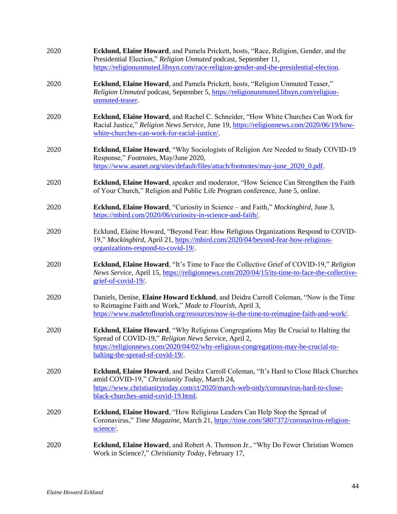| 2020 | Ecklund, Elaine Howard, and Pamela Prickett, hosts, "Race, Religion, Gender, and the<br>Presidential Election," Religion Unmuted podcast, September 11,<br>https://religionunmuted.libsyn.com/race-religion-gender-and-the-presidential-election.                    |
|------|----------------------------------------------------------------------------------------------------------------------------------------------------------------------------------------------------------------------------------------------------------------------|
| 2020 | Ecklund, Elaine Howard, and Pamela Prickett, hosts, "Religion Unmuted Teaser,"<br>Religion Unmuted podcast, September 5, https://religionunmuted.libsyn.com/religion-<br>unmuted-teaser.                                                                             |
| 2020 | Ecklund, Elaine Howard, and Rachel C. Schneider, "How White Churches Can Work for<br>Racial Justice," Religion News Service, June 19, https://religionnews.com/2020/06/19/how-<br>white-churches-can-work-for-racial-justice/.                                       |
| 2020 | Ecklund, Elaine Howard, "Why Sociologists of Religion Are Needed to Study COVID-19<br>Response," Footnotes, May/June 2020,<br>https://www.asanet.org/sites/default/files/attach/footnotes/may-june 2020 0.pdf.                                                       |
| 2020 | Ecklund, Elaine Howard, speaker and moderator, "How Science Can Strengthen the Faith<br>of Your Church," Religion and Public Life Program conference, June 5, online.                                                                                                |
| 2020 | <b>Ecklund, Elaine Howard</b> , "Curiosity in Science – and Faith," Mockingbird, June 3,<br>https://mbird.com/2020/06/curiosity-in-science-and-faith/.                                                                                                               |
| 2020 | Ecklund, Elaine Howard, "Beyond Fear: How Religious Organizations Respond to COVID-<br>19," Mockingbird, April 21, https://mbird.com/2020/04/beyond-fear-how-religious-<br>organizations-respond-to-covid-19/.                                                       |
| 2020 | Ecklund, Elaine Howard, "It's Time to Face the Collective Grief of COVID-19," Religion<br>News Service, April 15, https://religionnews.com/2020/04/15/its-time-to-face-the-collective-<br>grief-of-covid-19/                                                         |
| 2020 | Daniels, Denise, Elaine Howard Ecklund, and Deidra Carroll Coleman, "Now is the Time<br>to Reimagine Faith and Work," Made to Flourish, April 3,<br>https://www.madetoflourish.org/resources/now-is-the-time-to-reimagine-faith-and-work/.                           |
| 2020 | Ecklund, Elaine Howard, "Why Religious Congregations May Be Crucial to Halting the<br>Spread of COVID-19," Religion News Service, April 2,<br>https://religionnews.com/2020/04/02/why-religious-congregations-may-be-crucial-to-<br>halting-the-spread-of-covid-19/. |
| 2020 | Ecklund, Elaine Howard, and Deidra Carroll Coleman, "It's Hard to Close Black Churches<br>amid COVID-19," Christianity Today, March 24,<br>https://www.christianitytoday.com/ct/2020/march-web-only/coronavirus-hard-to-close-<br>black-churches-amid-covid-19.html. |
| 2020 | Ecklund, Elaine Howard, "How Religious Leaders Can Help Stop the Spread of<br>Coronavirus," Time Magazine, March 21, https://time.com/5807372/coronavirus-religion-<br>science/.                                                                                     |
| 2020 | Ecklund, Elaine Howard, and Robert A. Thomson Jr., "Why Do Fewer Christian Women<br>Work in Science?," Christianity Today, February 17,                                                                                                                              |